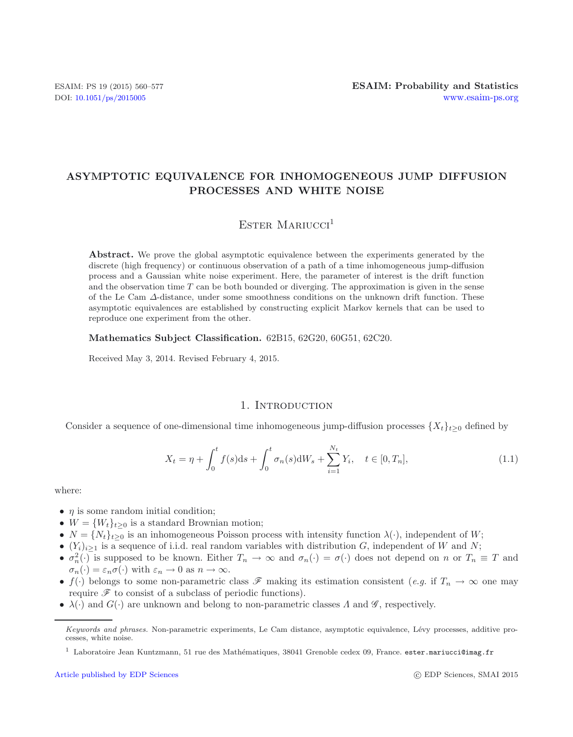# **ASYMPTOTIC EQUIVALENCE FOR INHOMOGENEOUS JUMP DIFFUSION PROCESSES AND WHITE NOISE**

# <span id="page-0-0"></span>ESTER MARIUCCI $<sup>1</sup>$ </sup>

**Abstract.** We prove the global asymptotic equivalence between the experiments generated by the discrete (high frequency) or continuous observation of a path of a time inhomogeneous jump-diffusion process and a Gaussian white noise experiment. Here, the parameter of interest is the drift function and the observation time  $T$  can be both bounded or diverging. The approximation is given in the sense of the Le Cam  $\Delta$ -distance, under some smoothness conditions on the unknown drift function. These asymptotic equivalences are established by constructing explicit Markov kernels that can be used to reproduce one experiment from the other.

**Mathematics Subject Classification.** 62B15, 62G20, 60G51, 62C20.

Received May 3, 2014. Revised February 4, 2015.

# 1. INTRODUCTION

Consider a sequence of one-dimensional time inhomogeneous jump-diffusion processes  $\{X_t\}_{t\geq0}$  defined by

$$
X_t = \eta + \int_0^t f(s)ds + \int_0^t \sigma_n(s)dW_s + \sum_{i=1}^{N_t} Y_i, \quad t \in [0, T_n],
$$
\n(1.1)

where:

- $\eta$  is some random initial condition;
- $W = \{W_t\}_{t>0}$  is a standard Brownian motion;
- $N = \{N_t\}_{t>0}$  is an inhomogeneous Poisson process with intensity function  $\lambda(\cdot)$ , independent of W;
- $(Y_i)_{i\geq 1}$  is a sequence of i.i.d. real random variables with distribution G, independent of W and N;
- $\sigma_n^2(\cdot)$  is supposed to be known. Either  $T_n \to \infty$  and  $\sigma_n(\cdot) = \sigma(\cdot)$  does not depend on n or  $T_n \equiv T$  and  $\sigma_n(\cdot) = \varepsilon_n \sigma(\cdot)$  with  $\varepsilon_n \to 0$  as  $n \to \infty$ .
- $f(\cdot)$  belongs to some non-parametric class  $\mathscr F$  making its estimation consistent (*e.g.* if  $T_n \to \infty$  one may require  $\mathscr F$  to consist of a subclass of periodic functions).
- $\lambda(\cdot)$  and  $G(\cdot)$  are unknown and belong to non-parametric classes  $\Lambda$  and  $\mathscr{G}$ , respectively.

c EDP Sciences, SMAI 2015

*Keywords and phrases.* Non-parametric experiments, Le Cam distance, asymptotic equivalence, L´evy processes, additive processes, white noise.

 $^{\rm 1}$  Laboratoire Jean Kuntzmann, 51 rue des Mathématiques, 38041 Grenoble cedex 09, France. ester.mariucci@imag.fr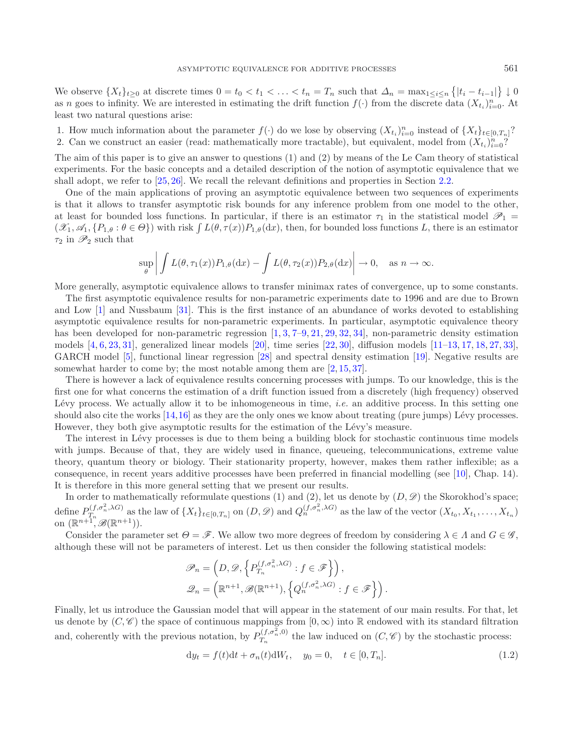We observe  $\{X_t\}_{t\geq0}$  at discrete times  $0 = t_0 < t_1 < \ldots < t_n = T_n$  such that  $\Delta_n = \max_{1 \leq i \leq n} \{|t_i - t_{i-1}|\} \downarrow 0$ as n goes to infinity. We are interested in estimating the drift function  $f(\cdot)$  from the discrete data  $(X_{t_i})_{i=0}^n$ . At least two natural questions arise: least two natural questions arise:

1. How much information about the parameter  $f(\cdot)$  do we lose by observing  $(X_t)_{t=0}^n$  instead of  $\{X_t\}_{t\in[0,T_n]}$ ?<br>2. Can we construct an easier (read: mathematically more tractable) but equivalent model from  $(X, \mathbb{R})^$ 2. Can we construct an easier (read: mathematically more tractable), but equivalent, model from  $(X_{t_i})_{i=0}^{n}$ ?

The aim of this paper is to give an answer to questions (1) and (2) by means of the Le Cam theory of statistical experiments. For the basic concepts and a detailed description of the notion of asymptotic equivalence that we shall adopt, we refer to [\[25,](#page-17-0) [26\]](#page-17-1). We recall the relevant definitions and properties in Section [2.2.](#page-4-0)

One of the main applications of proving an asymptotic equivalence between two sequences of experiments is that it allows to transfer asymptotic risk bounds for any inference problem from one model to the other, at least for bounded loss functions. In particular, if there is an estimator  $\tau_1$  in the statistical model  $\mathscr{P}_1$  $(\mathscr{X}_1, \mathscr{A}_1, \{P_{1,\theta} : \theta \in \Theta\})$  with risk  $\int L(\theta, \tau(x)) P_{1,\theta}(dx)$ , then, for bounded loss functions L, there is an estimator  $\tau_2$  in  $\mathscr{P}_2$  such that

$$
\sup_{\theta} \left| \int L(\theta, \tau_1(x)) P_{1,\theta}(\mathrm{d}x) - \int L(\theta, \tau_2(x)) P_{2,\theta}(\mathrm{d}x) \right| \to 0, \quad \text{as } n \to \infty.
$$

More generally, asymptotic equivalence allows to transfer minimax rates of convergence, up to some constants.

The first asymptotic equivalence results for non-parametric experiments date to 1996 and are due to Brown and Low [\[1\]](#page-16-0) and Nussbaum [\[31\]](#page-17-2). This is the first instance of an abundance of works devoted to establishing asymptotic equivalence results for non-parametric experiments. In particular, asymptotic equivalence theory has been developed for non-parametric regression  $[1, 3, 7-9, 21, 29, 32, 34]$  $[1, 3, 7-9, 21, 29, 32, 34]$  $[1, 3, 7-9, 21, 29, 32, 34]$  $[1, 3, 7-9, 21, 29, 32, 34]$  $[1, 3, 7-9, 21, 29, 32, 34]$  $[1, 3, 7-9, 21, 29, 32, 34]$  $[1, 3, 7-9, 21, 29, 32, 34]$  $[1, 3, 7-9, 21, 29, 32, 34]$  $[1, 3, 7-9, 21, 29, 32, 34]$  $[1, 3, 7-9, 21, 29, 32, 34]$  $[1, 3, 7-9, 21, 29, 32, 34]$  $[1, 3, 7-9, 21, 29, 32, 34]$  $[1, 3, 7-9, 21, 29, 32, 34]$  $[1, 3, 7-9, 21, 29, 32, 34]$ , non-parametric density estimation models  $[4, 6, 23, 31]$  $[4, 6, 23, 31]$  $[4, 6, 23, 31]$  $[4, 6, 23, 31]$  $[4, 6, 23, 31]$  $[4, 6, 23, 31]$  $[4, 6, 23, 31]$  $[4, 6, 23, 31]$ , generalized linear models  $[20]$ , time series  $[22, 30]$  $[22, 30]$  $[22, 30]$ , diffusion models  $[11-13, 17, 18, 27, 33]$  $[11-13, 17, 18, 27, 33]$  $[11-13, 17, 18, 27, 33]$  $[11-13, 17, 18, 27, 33]$  $[11-13, 17, 18, 27, 33]$  $[11-13, 17, 18, 27, 33]$  $[11-13, 17, 18, 27, 33]$  $[11-13, 17, 18, 27, 33]$  $[11-13, 17, 18, 27, 33]$  $[11-13, 17, 18, 27, 33]$ , GARCH model [\[5\]](#page-16-14), functional linear regression [\[28](#page-17-9)] and spectral density estimation [\[19\]](#page-16-15). Negative results are somewhat harder to come by; the most notable among them are  $[2, 15, 37]$  $[2, 15, 37]$  $[2, 15, 37]$  $[2, 15, 37]$  $[2, 15, 37]$  $[2, 15, 37]$ .

There is however a lack of equivalence results concerning processes with jumps. To our knowledge, this is the first one for what concerns the estimation of a drift function issued from a discretely (high frequency) observed Lévy process. We actually allow it to be inhomogeneous in time, *i.e.* an additive process. In this setting one should also cite the works  $[14,16]$  $[14,16]$  as they are the only ones we know about treating (pure jumps) Lévy processes. However, they both give asymptotic results for the estimation of the Lévy's measure.

The interest in Lévy processes is due to them being a building block for stochastic continuous time models with jumps. Because of that, they are widely used in finance, queueing, telecommunications, extreme value theory, quantum theory or biology. Their stationarity property, however, makes them rather inflexible; as a consequence, in recent years additive processes have been preferred in financial modelling (see [\[10\]](#page-16-20), Chap. 14). It is therefore in this more general setting that we present our results.<br>In order to mathematically reformulate questions (1) and (2), let us denote by  $(D, \mathscr{D})$  the Skorokhod's space;

In order to mathematically reformulate questions (1) and (2), let us denote by  $(D, \mathscr{D})$  the Skorokhod's space; define  $P_{T_n}^{(f,\sigma_n^2,\lambda G)}$  as the law of  $\{X_t\}_{t\in[0,T_n]}$  on  $(D,\mathscr{D})$  and  $Q_n^{(f,\sigma_n^2,\lambda G)}$  as the law of the vector  $(X_{t_0},X_{t_1},\ldots,X_{t_n})$ on  $(\mathbb{R}^{n+1}, \mathscr{B}(\mathbb{R}^{n+1})).$ 

Consider the parameter set  $\Theta = \mathscr{F}$ . We allow two more degrees of freedom by considering  $\lambda \in \Lambda$  and  $G \in \mathscr{G}$ , although these will not be parameters of interest. Let us then consider the following statistical models:

<span id="page-1-0"></span>
$$
\mathscr{P}_n = \left( D, \mathscr{D}, \left\{ P_{T_n}^{(f, \sigma_n^2, \lambda G)} : f \in \mathscr{F} \right\} \right),
$$
  

$$
\mathscr{D}_n = \left( \mathbb{R}^{n+1}, \mathscr{B}(\mathbb{R}^{n+1}), \left\{ Q_n^{(f, \sigma_n^2, \lambda G)} : f \in \mathscr{F} \right\} \right).
$$

Finally, let us introduce the Gaussian model that will appear in the statement of our main results. For that, let us denote by  $(C, \mathscr{C})$  the space of continuous mappings from  $[0, \infty)$  into R endowed with its standard filtration and, coherently with the previous notation, by  $P_{T_n}^{(f,\sigma_n^2,0)}$  the law induced on  $(C,\mathscr{C})$  by the stochastic process:

$$
dy_t = f(t)dt + \sigma_n(t)dW_t, \quad y_0 = 0, \quad t \in [0, T_n].
$$
\n(1.2)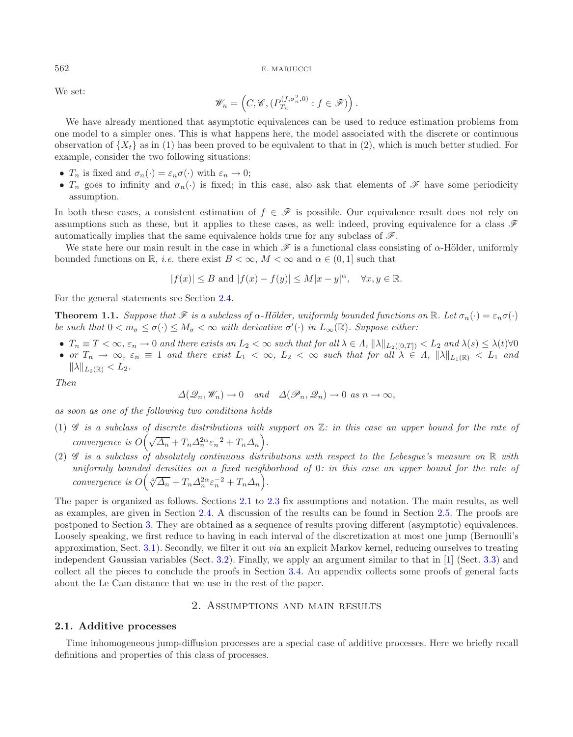We set:

<span id="page-2-1"></span>
$$
\mathscr{W}_n = \left(C, \mathscr{C}, (P_{T_n}^{(f, \sigma_n^2, 0)} : f \in \mathscr{F})\right).
$$

We have already mentioned that asymptotic equivalences can be used to reduce estimation problems from one model to a simpler ones. This is what happens here, the model associated with the discrete or continuous observation of  $\{X_t\}$  as in (1) has been proved to be equivalent to that in (2), which is much better studied. For example, consider the two following situations:

- $T_n$  is fixed and  $\sigma_n(\cdot) = \varepsilon_n \sigma(\cdot)$  with  $\varepsilon_n \to 0$ ;
- $T_n$  goes to infinity and  $\sigma_n(\cdot)$  is fixed; in this case, also ask that elements of  $\mathscr F$  have some periodicity assumption.

In both these cases, a consistent estimation of  $f \in \mathscr{F}$  is possible. Our equivalence result does not rely on assumptions such as these, but it applies to these cases, as well: indeed, proving equivalence for a class *F* automatically implies that the same equivalence holds true for any subclass of *F*.

We state here our main result in the case in which  $\mathscr F$  is a functional class consisting of  $\alpha$ -Hölder, uniformly bounded functions on R, *i.e.* there exist  $B < \infty$ ,  $M < \infty$  and  $\alpha \in (0, 1]$  such that

$$
|f(x)| \le B \text{ and } |f(x) - f(y)| \le M|x - y|^{\alpha}, \quad \forall x, y \in \mathbb{R}.
$$

For the general statements see Section [2.4.](#page-5-0)

**Theorem 1.1.** *Suppose that*  $\mathscr F$  *is a subclass of*  $\alpha$ -Hölder, uniformly bounded functions on  $\mathbb R$ *. Let*  $\sigma_n(\cdot) = \varepsilon_n \sigma(\cdot)$ *be such that*  $0 < m_{\sigma} \le \sigma(\cdot) \le M_{\sigma} < \infty$  *with derivative*  $\sigma'(\cdot)$  *in*  $L_{\infty}(\mathbb{R})$ *. Suppose either:* 

- $T_n \equiv T < \infty$ ,  $\varepsilon_n \to 0$  and there exists an  $L_2 < \infty$  such that for all  $\lambda \in \Lambda$ ,  $\|\lambda\|_{L_2([0,T])} < L_2$  and  $\lambda(s) \leq \lambda(t) \forall 0$ <br>•  $\alpha r$ ,  $T \to \infty$ ,  $\varepsilon_n = 1$  and there exist  $L_1 < \infty$ ,  $L_2 \propto \infty$ , such that for all  $\lambda \in \Lambda$
- or  $T_n \to \infty$ ,  $\varepsilon_n \equiv 1$  and there exist  $L_1 < \infty$ ,  $L_2 < \infty$  such that for all  $\lambda \in \Lambda$ ,  $\|\lambda\|_{L_1(\mathbb{R})} < L_1$  and  $\|\lambda\|_{L_1(\mathbb{R})} < L_2$  $\|\lambda\|_{L_2(\mathbb{R})} < L_2.$

*Then*

$$
\Delta(\mathscr{Q}_n, \mathscr{W}_n) \to 0 \quad and \quad \Delta(\mathscr{P}_n, \mathscr{Q}_n) \to 0 \text{ as } n \to \infty,
$$

*as soon as one of the following two conditions holds*

- (1) *G is a subclass of discrete distributions with support on* Z*: in this case an upper bound for the rate of convergence is*  $O\left(\sqrt{\Delta_n} + T_n \Delta_n^{2\alpha} \varepsilon_n^{-2} + T_n \Delta_n\right)$ .
- (2) *G is a subclass of absolutely continuous distributions with respect to the Lebesgue's measure on* R *with uniformly bounded densities on a fixed neighborhood of* 0*: in this case an upper bound for the rate of convergence is*  $O(\sqrt[4]{\Delta_n} + T_n \Delta_n^{2\alpha} \varepsilon_n^{-2} + T_n \Delta_n).$

The paper is organized as follows. Sections [2.1](#page-2-0) to [2.3](#page-5-1) fix assumptions and notation. The main results, as well as examples, are given in Section [2.4.](#page-5-0) A discussion of the results can be found in Section [2.5.](#page-6-0) The proofs are postponed to Section [3.](#page-7-0) They are obtained as a sequence of results proving different (asymptotic) equivalences. Loosely speaking, we first reduce to having in each interval of the discretization at most one jump (Bernoulli's approximation, Sect. [3.1\)](#page-7-1). Secondly, we filter it out *via* an explicit Markov kernel, reducing ourselves to treating independent Gaussian variables (Sect. [3.2\)](#page-8-0). Finally, we apply an argument similar to that in [\[1\]](#page-16-0) (Sect. [3.3\)](#page-11-0) and collect all the pieces to conclude the proofs in Section [3.4.](#page-13-0) An appendix collects some proofs of general facts about the Le Cam distance that we use in the rest of the paper.

# 2. Assumptions and main results

#### <span id="page-2-0"></span>**2.1. Additive processes**

Time inhomogeneous jump-diffusion processes are a special case of additive processes. Here we briefly recall definitions and properties of this class of processes.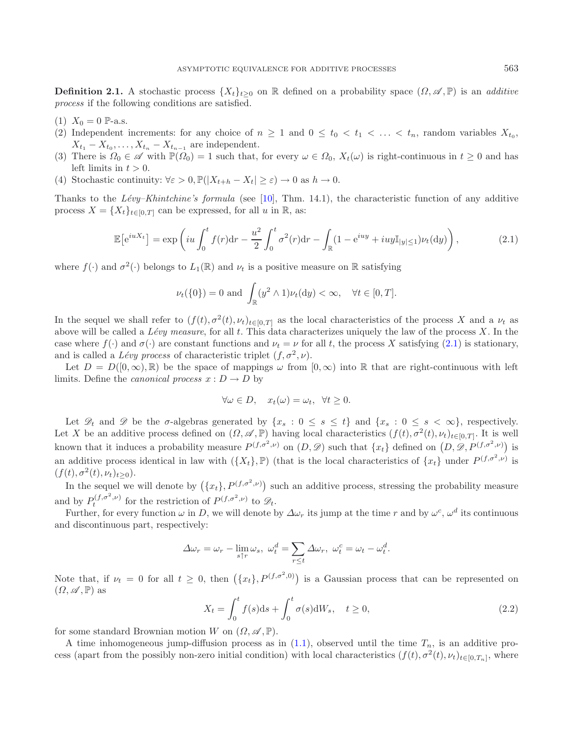<span id="page-3-0"></span>**Definition 2.1.** A stochastic process  $\{X_t\}_{t>0}$  on R defined on a probability space  $(\Omega, \mathscr{A}, \mathbb{P})$  is an *additive process* if the following conditions are satisfied.

- (1)  $X_0 = 0$  P-a.s.
- (2) Independent increments: for any choice of  $n \geq 1$  and  $0 \leq t_0 < t_1 < \ldots < t_n$ , random variables  $X_{t_0}$ ,  $X_{t_1} - X_{t_0}, \ldots, X_{t_n} - X_{t_{n-1}}$  are independent.
- (3) There is  $\Omega_0 \in \mathscr{A}$  with  $\mathbb{P}(\Omega_0) = 1$  such that, for every  $\omega \in \Omega_0$ ,  $X_t(\omega)$  is right-continuous in  $t \geq 0$  and has left limits in  $t > 0$ . left limits in  $t > 0$ .<br>Stochastic continui
- (4) Stochastic continuity:  $\forall \varepsilon > 0, \mathbb{P}(|X_{t+h} X_t| \ge \varepsilon) \to 0$  as  $h \to 0$ .

Thanks to the *Lévy–Khintchine's formula* (see [\[10\]](#page-16-20), Thm. 14.1), the characteristic function of any additive process  $X = \{X_t\}_{t\in[0,T]}$  can be expressed, for all u in  $\mathbb{R}$ , as:

$$
\mathbb{E}\left[e^{iuX_t}\right] = \exp\left(iu\int_0^t f(r)dr - \frac{u^2}{2}\int_0^t \sigma^2(r)dr - \int_{\mathbb{R}}(1 - e^{iuy} + iuy\mathbb{I}_{|y|\leq 1})\nu_t(\mathrm{d}y)\right),\tag{2.1}
$$

where  $f(\cdot)$  and  $\sigma^2(\cdot)$  belongs to  $L_1(\mathbb{R})$  and  $\nu_t$  is a positive measure on  $\mathbb R$  satisfying

$$
\nu_t(\{0\}) = 0 \text{ and } \int_{\mathbb{R}} (y^2 \wedge 1) \nu_t(\mathrm{d}y) < \infty, \quad \forall t \in [0, T].
$$

In the sequel we shall refer to  $(f(t), \sigma^2(t), \nu_t)_{t\in[0,T]}$  as the local characteristics of the process X and a  $\nu_t$  as above will be called a *L´evy measure*, for all t. This data characterizes uniquely the law of the process X. In the case where  $f(\cdot)$  and  $\sigma(\cdot)$  are constant functions and  $\nu_t = \nu$  for all t, the process X satisfying [\(2.1\)](#page-3-0) is stationary, and is called a *Lévy process* of characteristic triplet  $(f, \sigma^2, \nu)$ .

Let  $D = D([0, \infty), \mathbb{R})$  be the space of mappings  $\omega$  from  $[0, \infty)$  into R that are right-continuous with left limits. Define the *canonical process*  $x : D \to D$  by

$$
\forall \omega \in D, \quad x_t(\omega) = \omega_t, \ \forall t \ge 0.
$$

Let  $\mathscr{D}_t$  and  $\mathscr{D}$  be the  $\sigma$ -algebras generated by  $\{x_s : 0 \le s \le t\}$  and  $\{x_s : 0 \le s < \infty\}$ , respectively. Let X be an additive process defined on  $(\Omega, \mathscr{A}, \mathbb{P})$  having local characteristics  $(f(t), \sigma^2(t), \nu_t)_{t \in [0,T]}$ . It is well known that it induces a probability measure  $P^{(f,\sigma^2,\nu)}$  on  $(D,\mathscr{D})$  such that  $\{x_t\}$  defined on  $(D,\mathscr{D},P^{(f,\sigma^2,\nu)})$  is an additive process identical in law with  $({X_t}, \mathbb{P})$  (that is the local characteristics of  ${x_t}$ ) under  $P^{(f, \sigma^2, \nu)}$  is  $(f(t), \sigma^2(t), \nu_t)_{t>0}).$ 

In the sequel we will denote by  $(\{x_t\}, P^{(f, \sigma^2, \nu)})$  such an additive process, stressing the probability measure and by  $P_t^{(f,\sigma^2,\nu)}$  for the restriction of  $P^{(f,\sigma^2,\nu)}$  to  $\mathcal{D}_t$ .<br>Further for every function  $\omega$  in  $D$ , we will denote by

Further, for every function  $\omega$  in D, we will denote by  $\Delta\omega_r$  its jump at the time r and by  $\omega^c$ ,  $\omega^d$  its continuous and discontinuous part, respectively:

$$
\Delta \omega_r = \omega_r - \lim_{s \uparrow r} \omega_s, \ \omega_t^d = \sum_{r \le t} \Delta \omega_r, \ \omega_t^c = \omega_t - \omega_t^d.
$$

Note that, if  $\nu_t = 0$  for all  $t \geq 0$ , then  $(\{x_t\}, P^{(f, \sigma^2, 0)})$  is a Gaussian process that can be represented on  $(0, \sigma^2 \mathbb{P})$  as  $(\Omega, \mathscr{A}, \mathbb{P})$  as

$$
X_t = \int_0^t f(s)ds + \int_0^t \sigma(s)dW_s, \quad t \ge 0,
$$
\n(2.2)

for some standard Brownian motion W on  $(\Omega, \mathscr{A}, \mathbb{P})$ .

A time inhomogeneous jump-diffusion process as in  $(1.1)$ , observed until the time  $T_n$ , is an additive process (apart from the possibly non-zero initial condition) with local characteristics  $(f(t), \sigma^2(t), \nu_t)_{t \in [0,T_n]}$ , where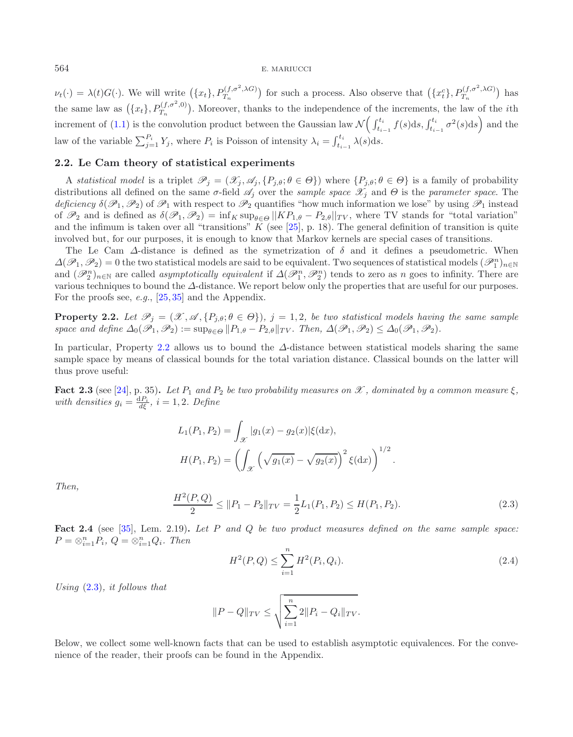$\nu_t(\cdot) = \lambda(t)G(\cdot)$ . We will write  $(\{x_t\}, P_{T_n}^{(f, \sigma^2, \lambda G)})$  for such a process. Also observe that  $(\{x_t^c\}, P_{T_n}^{(f, \sigma^2, \lambda G)})$  has the same law as  $({x_t}, P_{T_n}^{(f,\sigma^2,0)})$ . Moreover, thanks to the independence of the increments, the law of the *i*th increment of [\(1.1\)](#page-0-0) is the convolution product between the Gaussian law  $\mathcal{N}\left(\int_{t_{i-1}}^{t_i} f(s)ds, \int_{t_{i-1}}^{t_i} \sigma^2(s)ds\right)$  and the law of the variable  $\sum_{j=1}^{P_i} Y_j$ , where  $P_i$  is Poisson of intensity  $\lambda_i = \int_{t_{i-1}}^{t_i} \lambda(s) ds$ .

## <span id="page-4-1"></span><span id="page-4-0"></span>**2.2. Le Cam theory of statistical experiments**

A *statistical model* is a triplet  $\mathscr{P}_j = (\mathscr{X}_j, \mathscr{A}_j, \{P_{j,\theta}; \theta \in \Theta\})$  where  $\{P_{j,\theta}; \theta \in \Theta\}$  is a family of probability distributions all defined on the same  $\sigma$ -field  $\mathscr{A}_j$  over the *sample space*  $\mathscr{X}_j$  and  $\Theta$  is the *parameter space*. The *deficiency*  $\delta(\mathscr{P}_1, \mathscr{P}_2)$  of  $\mathscr{P}_1$  with respect to  $\mathscr{P}_2$  quantifies "how much information we lose" by using  $\mathscr{P}_1$  instead of  $\mathscr{P}_2$  and is defined as  $\delta(\mathscr{P}_1,\mathscr{P}_2) = \inf_K \sup_{\theta \in \Theta} ||KP_{1,\theta} - P_{2,\theta}||_{TV}$ , where TV stands for "total variation" and the infimum is taken over all "transitions"  $\overline{K}$  (see [\[25\]](#page-17-0), p. 18). The general definition of transition is quite involved but, for our purposes, it is enough to know that Markov kernels are special cases of transitions.

The Le Cam  $\Delta$ -distance is defined as the symetrization of  $\delta$  and it defines a pseudometric. When  $\Delta(\mathcal{P}_1, \mathcal{P}_2) = 0$  the two statistical models are said to be equivalent. Two sequences of statistical models  $(\mathcal{P}_1^n)_{n\in\mathbb{N}}$ <br>and  $(\mathcal{P}_1^n)_{n\in\mathbb{N}}$  are called *asymptotically equivalent* if  $\Delta(\mathcal{P}_1^n, \mathcal{P$ and  $(\mathscr{P}_2^n)_{n\in\mathbb{N}}$  are called *asymptotically equivalent* if  $\Delta(\mathscr{P}_1^n, \mathscr{P}_2^n)$  tends to zero as n goes to infinity. There are<br>various techniques to bound the A-distance. We report below only the properties tha various techniques to bound the  $\Delta$ -distance. We report below only the properties that are useful for our purposes. For the proofs see, *e.g.*, [\[25,](#page-17-0) [35\]](#page-17-11) and the Appendix.

**Property 2.2.** Let  $\mathcal{P}_j = (\mathcal{X}, \mathcal{A}, \{P_{j,\theta}; \theta \in \Theta\})$ ,  $j = 1, 2$ , be two statistical models having the same sample *space and define*  $\Delta_0(\mathscr{P}_1, \mathscr{P}_2) := \sup_{\theta \in \Theta} ||P_{1,\theta} - P_{2,\theta}||_{TV}$ . Then,  $\Delta(\mathscr{P}_1, \mathscr{P}_2) \leq \Delta_0(\mathscr{P}_1, \mathscr{P}_2)$ .

<span id="page-4-2"></span>In particular, Property [2.2](#page-4-1) allows us to bound the  $\Delta$ -distance between statistical models sharing the same sample space by means of classical bounds for the total variation distance. Classical bounds on the latter will thus prove useful:

**Fact 2.3** (see [\[24](#page-17-12)], p. 35). Let  $P_1$  and  $P_2$  be two probability measures on  $\mathcal{X}$ , dominated by a common measure  $\xi$ , *with densities*  $g_i = \frac{dP_i}{d\xi}, i = 1, 2$ *. Define* 

$$
L_1(P_1, P_2) = \int_{\mathcal{X}} |g_1(x) - g_2(x)| \xi(\mathrm{d}x),
$$

$$
H(P_1, P_2) = \left( \int_{\mathcal{X}} \left( \sqrt{g_1(x)} - \sqrt{g_2(x)} \right)^2 \xi(\mathrm{d}x) \right)^{1/2}
$$

*Then,*

$$
\frac{H^2(P,Q)}{2} \le \|P_1 - P_2\|_{TV} = \frac{1}{2}L_1(P_1, P_2) \le H(P_1, P_2). \tag{2.3}
$$

<span id="page-4-3"></span>**Fact 2.4** (see [\[35\]](#page-17-11), Lem. 2.19)**.** *Let* P *and* Q *be two product measures defined on the same sample space:*  $P = \otimes_{i=1}^{n} P_i, Q = \otimes_{i=1}^{n} Q_i$ . Then

<span id="page-4-4"></span>
$$
H^{2}(P,Q) \le \sum_{i=1}^{n} H^{2}(P_{i},Q_{i}).
$$
\n(2.4)

*Using* [\(2.3\)](#page-4-2)*, it follows that*

$$
||P - Q||_{TV} \le \sqrt{\sum_{i=1}^{n} 2||P_i - Q_i||_{TV}}.
$$

Below, we collect some well-known facts that can be used to establish asymptotic equivalences. For the convenience of the reader, their proofs can be found in the Appendix.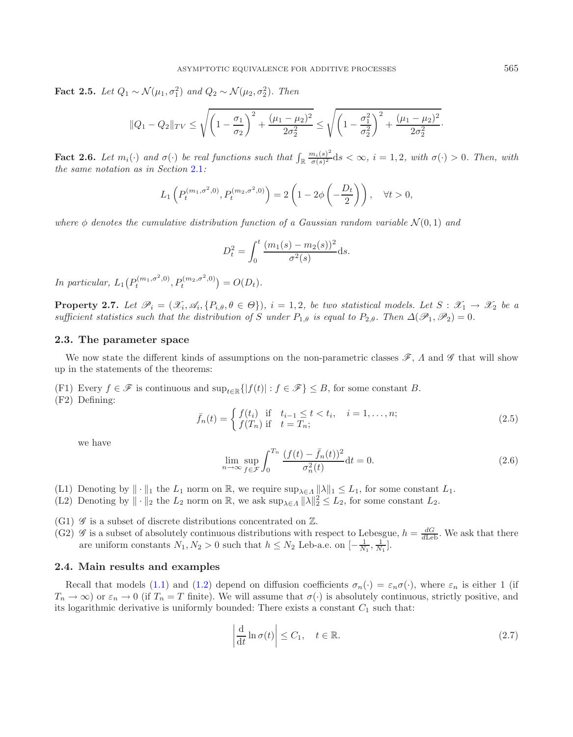**Fact 2.5.** *Let*  $Q_1 \sim \mathcal{N}(\mu_1, \sigma_1^2)$  *and*  $Q_2 \sim \mathcal{N}(\mu_2, \sigma_2^2)$ *. Then* 

$$
||Q_1 - Q_2||_{TV} \le \sqrt{\left(1 - \frac{\sigma_1}{\sigma_2}\right)^2 + \frac{(\mu_1 - \mu_2)^2}{2\sigma_2^2}} \le \sqrt{\left(1 - \frac{\sigma_1^2}{\sigma_2^2}\right)^2 + \frac{(\mu_1 - \mu_2)^2}{2\sigma_2^2}}.
$$

<span id="page-5-4"></span>**Fact 2.6.** Let  $m_i(\cdot)$  and  $\sigma(\cdot)$  be real functions such that  $\int_{\mathbb{R}} \frac{m_i(s)^2}{\sigma(s)^2} ds < \infty$ ,  $i = 1, 2$ , with  $\sigma(\cdot) > 0$ . Then, with the same notation as in Section 2.1. *the same notation as in Section* [2.1](#page-2-0)*:*

$$
L_1\left(P_t^{(m_1,\sigma^2,0)}, P_t^{(m_2,\sigma^2,0)}\right) = 2\left(1 - 2\phi\left(-\frac{D_t}{2}\right)\right), \quad \forall t > 0,
$$

*where*  $\phi$  *denotes the cumulative distribution function of a Gaussian random variable*  $\mathcal{N}(0,1)$  *and* 

$$
D_t^2 = \int_0^t \frac{(m_1(s) - m_2(s))^2}{\sigma^2(s)} ds.
$$

<span id="page-5-3"></span>*In particular,*  $L_1(P_t^{(m_1,\sigma^2,0)}, P_t^{(m_2,\sigma^2,0)}) = O(D_t)$ .

<span id="page-5-5"></span>**Property 2.7.** Let  $\mathscr{P}_i = (\mathscr{X}_i, \mathscr{A}_i, \{P_{i,\theta}, \theta \in \Theta\}), i = 1, 2$ , be two statistical models. Let  $S : \mathscr{X}_1 \to \mathscr{X}_2$  be a *sufficient statistics such that the distribution of* S *under*  $P_{1,\theta}$  *is equal to*  $P_{2,\theta}$ *. Then*  $\Delta(\mathscr{P}_1, \mathscr{P}_2) = 0$ *.* 

## <span id="page-5-1"></span>**2.3. The parameter space**

We now state the different kinds of assumptions on the non-parametric classes *<sup>F</sup>*, Λ and *<sup>G</sup>* that will show up in the statements of the theorems:

(F1) Every  $f \in \mathscr{F}$  is continuous and  $\sup_{t \in \mathbb{R}} \{ |f(t)| : f \in \mathscr{F} \} \leq B$ , for some constant B. (F2) Defining:

$$
\bar{f}_n(t) = \begin{cases} f(t_i) & \text{if } t_{i-1} \le t < t_i, \quad i = 1, ..., n; \\ f(T_n) & \text{if } t = T_n; \end{cases}
$$
\n(2.5)

we have

<span id="page-5-2"></span>
$$
\lim_{n \to \infty} \sup_{f \in \mathcal{F}} \int_0^{T_n} \frac{(f(t) - \bar{f}_n(t))^2}{\sigma_n^2(t)} dt = 0.
$$
\n(2.6)

(L1) Denoting by  $\|\cdot\|_1$  the  $L_1$  norm on  $\mathbb{R}$ , we require  $\sup_{\lambda \in \Lambda} ||\lambda||_1 \leq L_1$ , for some constant  $L_1$ .

- (L2) Denoting by  $\|\cdot\|_2$  the  $L_2$  norm on  $\mathbb{R}$ , we ask  $\sup_{\lambda \in \Lambda} ||\lambda||_2^2 \leq L_2$ , for some constant  $L_2$ .
- (G1)  $\mathscr G$  is a subset of discrete distributions concentrated on  $\mathbb Z$ .
- $(G2)$  *G* is a subset of absolutely continuous distributions with respect to Lebesgue,  $h = \frac{dG}{d\text{Leb}}$ . We ask that there are uniform constants  $N_1, N_2 > 0$  such that  $h \leq N_2$  Leb-a.e. on  $[-\frac{1}{N_1}, \frac{1}{N_1}]$ .

## <span id="page-5-0"></span>**2.4. Main results and examples**

Recall that models [\(1.1\)](#page-0-0) and [\(1.2\)](#page-1-0) depend on diffusion coefficients  $\sigma_n(\cdot) = \varepsilon_n \sigma(\cdot)$ , where  $\varepsilon_n$  is either 1 (if  $T_n \to \infty$ ) or  $\varepsilon_n \to 0$  (if  $T_n = T$  finite). We will assume that  $\sigma(\cdot)$  is absolutely continuous, strictly positive, and its logarithmic derivative is uniformly bounded: There exists a constant  $C_1$  such that:

$$
\left| \frac{\mathrm{d}}{\mathrm{d}t} \ln \sigma(t) \right| \le C_1, \quad t \in \mathbb{R}.
$$
 (2.7)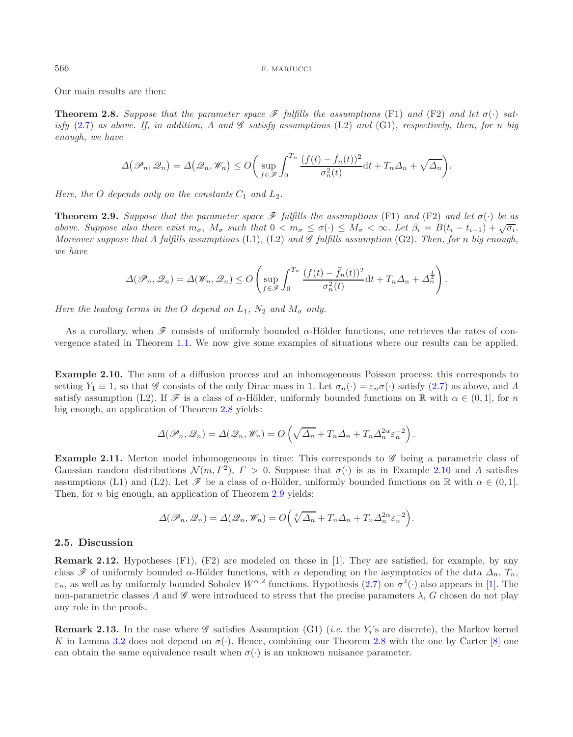<span id="page-6-1"></span>Our main results are then:

**Theorem 2.8.** *Suppose that the parameter space*  $\mathcal{F}$  *fulfills the assumptions* (F1) *and* (F2) *and let*  $\sigma(\cdot)$  *satisfy* [\(2.7\)](#page-5-2) *as above. If, in addition,* Λ *and <sup>G</sup> satisfy assumptions* (L2) *and* (G1)*, respectively, then, for* n *big enough, we have*

$$
\Delta(\mathscr{P}_n, \mathscr{Q}_n) = \Delta(\mathscr{Q}_n, \mathscr{W}_n) \le O\bigg(\sup_{f \in \mathscr{F}} \int_0^{T_n} \frac{(f(t) - \bar{f}_n(t))^2}{\sigma_n^2(t)} \mathrm{d}t + T_n \Delta_n + \sqrt{\Delta_n}\bigg).
$$

<span id="page-6-3"></span>*Here, the* O *depends only on the constants*  $C_1$  *and*  $L_2$ *.* 

<span id="page-6-2"></span>**Theorem 2.9.** *Suppose that the parameter space*  $\mathscr F$  *fulfills the assumptions* (F1) *and* (F2) *and let*  $\sigma(\cdot)$  *be as above. Suppose also there exist*  $m_{\sigma}$ ,  $M_{\sigma}$  *such that*  $0 < m_{\sigma} \leq \sigma(\cdot) \leq M_{\sigma} < \infty$ *. Let*  $\beta_i = B(t_i - t_{i-1}) + \sqrt{\sigma_i}$ . *Moreover suppose that* Λ *fulfills assumptions* (L1)*,* (L2) *and <sup>G</sup> fulfills assumption* (G2)*. Then, for* n *big enough, we have*

$$
\Delta(\mathscr{P}_n, \mathscr{Q}_n) = \Delta(\mathscr{W}_n, \mathscr{Q}_n) \le O\left(\sup_{f \in \mathscr{F}} \int_0^{T_n} \frac{(f(t) - \bar{f}_n(t))^2}{\sigma_n^2(t)} \mathrm{d}t + T_n \Delta_n + \Delta_n^{\frac{1}{4}}\right).
$$

*Here the leading terms in the* O *depend on*  $L_1$ ,  $N_2$  *and*  $M_{\sigma}$  *only.* 

As a corollary, when  $\mathscr F$  consists of uniformly bounded  $\alpha$ -Hölder functions, one retrieves the rates of convergence stated in Theorem [1.1.](#page-2-1) We now give some examples of situations where our results can be applied.

**Example 2.10.** The sum of a diffusion process and an inhomogeneous Poisson process: this corresponds to setting  $Y_1 \equiv 1$ , so that *G* consists of the only Dirac mass in 1. Let  $\sigma_n(\cdot) = \varepsilon_n \sigma(\cdot)$  satisfy [\(2.7\)](#page-5-2) as above, and  $\Lambda$ satisfy assumption (L2). If  $\mathscr F$  is a class of  $\alpha$ -Hölder, uniformly bounded functions on R with  $\alpha \in (0,1]$ , for n big enough, an application of Theorem [2.8](#page-6-1) yields:

$$
\Delta(\mathscr{P}_n, \mathscr{Q}_n) = \Delta(\mathscr{Q}_n, \mathscr{W}_n) = O\left(\sqrt{\Delta_n} + T_n \Delta_n + T_n \Delta_n^{2\alpha} \varepsilon_n^{-2}\right).
$$

**Example 2.11.** Merton model inhomogeneous in time: This corresponds to *G* being a parametric class of Gaussian random distributions  $\mathcal{N}(m, \Gamma^2)$ ,  $\Gamma > 0$ . Suppose that  $\sigma(\cdot)$  is as in Example [2.10](#page-6-2) and  $\Lambda$  satisfies assumptions (L1) and (L2). Let  $\mathscr F$  be a class of  $\alpha$ -Hölder, uniformly bounded functions on R with  $\alpha \in (0,1]$ . Then, for  $n$  big enough, an application of Theorem  $2.9$  yields:

$$
\Delta(\mathscr{P}_n, \mathscr{Q}_n) = \Delta(\mathscr{Q}_n, \mathscr{W}_n) = O\left(\sqrt[4]{\Delta_n} + T_n \Delta_n + T_n \Delta_n^{2\alpha} \varepsilon_n^{-2}\right).
$$

#### <span id="page-6-0"></span>**2.5. Discussion**

**Remark 2.12.** Hypotheses (F1), (F2) are modeled on those in [\[1](#page-16-0)]. They are satisfied, for example, by any class  $\mathscr F$  of uniformly bounded  $\alpha$ -Hölder functions, with  $\alpha$  depending on the asymptotics of the data  $\Delta_n$ ,  $T_n$ ,  $\varepsilon_n$ , as well as by uniformly bounded Sobolev  $W^{\alpha,2}$  functions. Hypothesis [\(2.7\)](#page-5-2) on  $\sigma^2(\cdot)$  also appears in [\[1\]](#page-16-0). The non-parametric classes  $\Lambda$  and  $\mathscr G$  were introduced to stress that the precise parameters  $\lambda$ ,  $G$  chosen do not play any role in the proofs.

**Remark 2.13.** In the case where  $\mathscr G$  satisfies Assumption (G1) (*i.e.* the  $Y_i$ 's are discrete), the Markov kernel K in Lemma [3.2](#page-8-1) does not depend on  $\sigma(\cdot)$ . Hence, combining our Theorem [2.8](#page-6-1) with the one by Carter [\[8](#page-16-21)] one can obtain the same equivalence result when  $\sigma(\cdot)$  is an unknown nuisance parameter.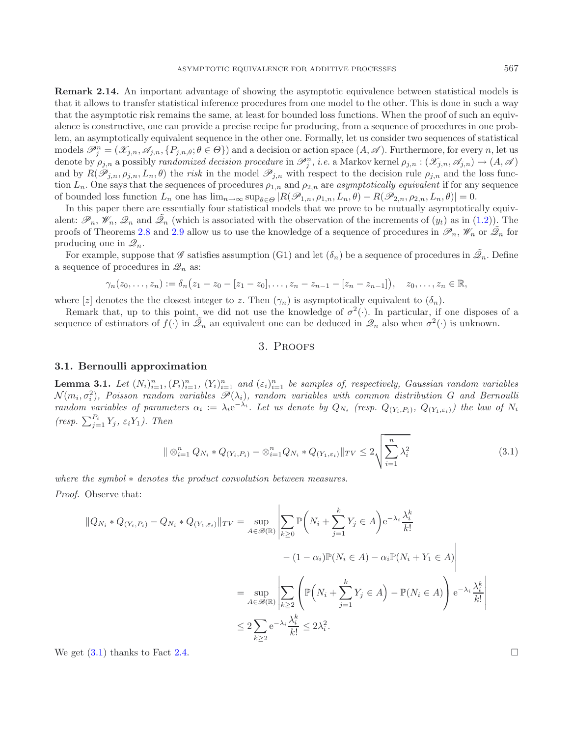**Remark 2.14.** An important advantage of showing the asymptotic equivalence between statistical models is that it allows to transfer statistical inference procedures from one model to the other. This is done in such a way that the asymptotic risk remains the same, at least for bounded loss functions. When the proof of such an equivalence is constructive, one can provide a precise recipe for producing, from a sequence of procedures in one problem, an asymptotically equivalent sequence in the other one. Formally, let us consider two sequences of statistical models  $\mathcal{P}_j^n = (\mathcal{X}_{j,n}, \mathcal{A}_{j,n}, \{P_{j,n,\theta}; \theta \in \Theta\})$  and a decision or action space  $(A, \mathcal{A})$ . Furthermore, for every n, let us<br>denote by  $g_{\theta}$  a possibly *randomized decision procedure* in  $\mathcal{P}^n$  *i.e.* a Markoy denote by  $\rho_{j,n}$  a possibly *randomized decision procedure* in  $\mathcal{P}_j^n$ , *i.e.* a Markov kernel  $\rho_{j,n} : (\mathcal{X}_{j,n}, \mathcal{A}_{j,n}) \mapsto (A, \mathcal{A})$ <br>and by  $B(\mathcal{P}_j)$  a  $\mu_j$ ,  $\mu_j$  the risk in the model  $\mathcal{P}_j$ , with respect t and by  $R(\mathscr{P}_{j,n}, \rho_{j,n}, L_n, \theta)$  the *risk* in the model  $\mathscr{P}_{j,n}$  with respect to the decision rule  $\rho_{j,n}$  and the loss function  $L_n$ . One says that the sequences of procedures  $\rho_{1,n}$  and  $\rho_{2,n}$  are *asymptotically equivalent* if for any sequence of bounded loss function  $L_n$  one has  $\lim_{n\to\infty} \sup_{\theta \in \Theta} |R(\mathscr{P}_{1,n}, \rho_{1,n}, L_n, \theta) - R(\mathscr{P}_{2,n}, \rho_{2,n}, L_n, \theta)| = 0.$ 

In this paper there are essentially four statistical models that we prove to be mutually asymptotically equivalent:  $\mathscr{P}_n$ ,  $\mathscr{W}_n$ ,  $\mathscr{Q}_n$  and  $\tilde{\mathscr{Q}}_n$  (which is associated with the observation of the increments of  $(y_t)$  as in [\(1.2\)](#page-1-0)). The proofs of Theorems [2.8](#page-6-1) and [2.9](#page-6-3) allow us to use the knowledge of a sequence of procedures in  $\mathscr{P}_n$ ,  $\mathscr{W}_n$  or  $\tilde{\mathscr{Q}}_n$  for producing one in  $\mathscr{Q}_n$ .

For example, suppose that *G* satisfies assumption (G1) and let  $(\delta_n)$  be a sequence of procedures in  $\mathcal{D}_n$ . Define a sequence of procedures in  $\mathscr{Q}_n$  as:

<span id="page-7-2"></span>
$$
\gamma_n(z_0,\ldots,z_n):=\delta_n(z_1-z_0-[z_1-z_0],\ldots,z_n-z_{n-1}-[z_n-z_{n-1}]),\quad z_0,\ldots,z_n\in\mathbb{R},
$$

where [z] denotes the the closest integer to z. Then  $(\gamma_n)$  is asymptotically equivalent to  $(\delta_n)$ .

<span id="page-7-0"></span>Remark that, up to this point, we did not use the knowledge of  $\sigma^2(\cdot)$ . In particular, if one disposes of a sequence of estimators of  $f(\cdot)$  in  $\tilde{\mathscr{Q}}_n$  an equivalent one can be deduced in  $\mathscr{Q}_n$  also when  $\sigma^2(\cdot)$  is unknown.

# 3. Proofs

# <span id="page-7-1"></span>**3.1. Bernoulli approximation**

<span id="page-7-3"></span>**Lemma 3.1.** *Let*  $(N_i)_{i=1}^n$ ,  $(N_i)_{i=1}^n$ ,  $(Y_i)_{i=1}^n$  and  $(\varepsilon_i)_{i=1}^n$  be samples of, respectively, Gaussian random variables<br> $\mathcal{N}(m_i, \sigma^2)$  Poisson random variables  $\mathcal{P}(1_i)$  random variables with common dis  $\mathcal{N}(m_i, \sigma_i^2)$ , Poisson random variables  $\mathcal{P}(\lambda_i)$ , random variables with common distribution G and Bernoulli<br>random variables of parameters  $\alpha_i := \lambda_i e^{-\lambda_i}$ . Let us denote by  $Q_N$  (resp.  $Q_{N,N}$ ) and  $\lambda_i$  and  $N$ *random variables of parameters*  $\alpha_i := \lambda_i e^{-\lambda_i}$ . Let us denote by  $Q_{N_i}$  (resp.  $Q_{(Y_i, P_i)}$ ,  $Q_{(Y_1, \varepsilon_i)}$ ) the law of  $N_i$ *(resp.*  $\sum_{j=1}^{P_i} Y_j$ *,*  $\varepsilon_i Y_1$ *). Then* 

$$
\| \otimes_{i=1}^{n} Q_{N_i} * Q_{(Y_i, P_i)} - \otimes_{i=1}^{n} Q_{N_i} * Q_{(Y_1, \varepsilon_i)} \|_{TV} \le 2 \sqrt{\sum_{i=1}^{n} \lambda_i^2}
$$
\n(3.1)

*where the symbol* ∗ *denotes the product convolution between measures.*

*Proof.* Observe that:

$$
\|Q_{N_i} * Q_{(Y_i, P_i)} - Q_{N_i} * Q_{(Y_1, \varepsilon_i)}\|_{TV} = \sup_{A \in \mathscr{B}(\mathbb{R})} \left| \sum_{k \ge 0} \mathbb{P}\left(N_i + \sum_{j=1}^k Y_j \in A\right) e^{-\lambda_i} \frac{\lambda_i^k}{k!} - (1 - \alpha_i) \mathbb{P}(N_i \in A) - \alpha_i \mathbb{P}(N_i + Y_1 \in A) \right|
$$
  

$$
= \sup_{A \in \mathscr{B}(\mathbb{R})} \left| \sum_{k \ge 2} \left( \mathbb{P}\left(N_i + \sum_{j=1}^k Y_j \in A\right) - \mathbb{P}(N_i \in A) \right) e^{-\lambda_i} \frac{\lambda_i^k}{k!} \right|
$$
  

$$
\le 2 \sum_{k \ge 2} e^{-\lambda_i} \frac{\lambda_i^k}{k!} \le 2\lambda_i^2.
$$

We get  $(3.1)$  thanks to Fact [2.4.](#page-4-3)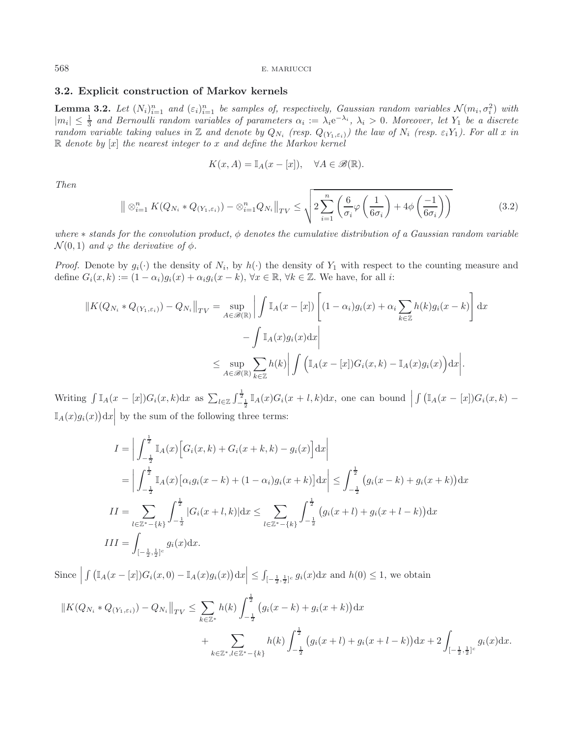# <span id="page-8-1"></span><span id="page-8-0"></span>**3.2. Explicit construction of Markov kernels**

**Lemma 3.2.** *Let*  $(N_i)_{i=1}^n$  *and*  $(\varepsilon_i)_{i=1}^n$  *be samples of, respectively, Gaussian random variables*  $\mathcal{N}(m_i, \sigma_i^2)$  *with*  $|m_i| < \frac{1}{n}$  *and Bernoulli random variables of narameters*  $\alpha_i := \lambda_i e^{-\lambda_i}$ ,  $\lambda_i > 0$  $|m_i|$  ≤  $\frac{1}{3}$  and Bernoulli random variables of parameters  $\alpha_i := \lambda_i e^{-\lambda_i}$ ,  $\lambda_i > 0$ . Moreover, let  $Y_1$  be a discrete<br>random variable taking values in  $\mathbb{Z}$  and denote by  $\alpha_i$ , (resp.  $\alpha_i$ , ) the law of N. (re *random variable taking values in*  $\mathbb{Z}$  *and denote by*  $Q_{N_i}$  *(resp.*  $Q_{(Y_1, \varepsilon_i)}$ *) the law of*  $N_i$  *(resp.*  $\varepsilon_i Y_1$ *). For all* x *in*  $\mathbb{R}$  *denote by* [x] *the nearest integer* to x and define the Mark <sup>R</sup> *denote by* [x] *the nearest integer to* x *and define the Markov kernel*

$$
K(x, A) = \mathbb{I}_A(x - [x]), \quad \forall A \in \mathscr{B}(\mathbb{R}).
$$

*Then*

$$
\| \otimes_{i=1}^{n} K(Q_{N_i} * Q_{(Y_1, \varepsilon_i)}) - \otimes_{i=1}^{n} Q_{N_i} \|_{TV} \leq \sqrt{2 \sum_{i=1}^{n} \left( \frac{6}{\sigma_i} \varphi \left( \frac{1}{6\sigma_i} \right) + 4\phi \left( \frac{-1}{6\sigma_i} \right) \right)}
$$
(3.2)

*where* <sup>∗</sup> *stands for the convolution product,* φ *denotes the cumulative distribution of a Gaussian random variable*  $\mathcal{N}(0, 1)$  *and*  $\varphi$  *the derivative of*  $\phi$ *.* 

*Proof.* Denote by  $g_i(\cdot)$  the density of  $N_i$ , by  $h(\cdot)$  the density of  $Y_1$  with respect to the counting measure and define  $G_i(x, k) := (1 - \alpha_i)g_i(x) + \alpha_i g_i(x - k)$ ,  $\forall x \in \mathbb{R}$ ,  $\forall k \in \mathbb{Z}$ . We have, for all i:

$$
||K(Q_{N_i} * Q_{(Y_1, \varepsilon_i)}) - Q_{N_i}||_{TV} = \sup_{A \in \mathscr{B}(\mathbb{R})} \left| \int \mathbb{I}_A(x - [x]) \left[ (1 - \alpha_i) g_i(x) + \alpha_i \sum_{k \in \mathbb{Z}} h(k) g_i(x - k) \right] dx \right|
$$
  

$$
- \int \mathbb{I}_A(x) g_i(x) dx \left|
$$
  

$$
\leq \sup_{A \in \mathscr{B}(\mathbb{R})} \sum_{k \in \mathbb{Z}} h(k) \left| \int \left( \mathbb{I}_A(x - [x]) G_i(x, k) - \mathbb{I}_A(x) g_i(x) \right) dx \right|.
$$

Writing  $\int \mathbb{I}_A(x-[x])G_i(x,k)dx$  as  $\sum_{l\in\mathbb{Z}}\int_{-\frac{1}{2}}^{\frac{1}{2}} \mathbb{I}_A(x)G_i(x+l,k)dx$ , one can bound  $\int (\mathbb{I}_A(x - [x])G_i(x, k) \mathbb{I}_A(x)g_i(x)\mathrm{d}x\Big|$  by the sum of the following three terms:

$$
I = \left| \int_{-\frac{1}{2}}^{\frac{1}{2}} \mathbb{I}_A(x) \left[ G_i(x, k) + G_i(x + k, k) - g_i(x) \right] dx \right|
$$
  
\n
$$
= \left| \int_{-\frac{1}{2}}^{\frac{1}{2}} \mathbb{I}_A(x) \left[ \alpha_i g_i(x - k) + (1 - \alpha_i) g_i(x + k) \right] dx \right| \le \int_{-\frac{1}{2}}^{\frac{1}{2}} (g_i(x - k) + g_i(x + k)) dx
$$
  
\n
$$
II = \sum_{l \in \mathbb{Z}^* - \{k\}} \int_{-\frac{1}{2}}^{\frac{1}{2}} |G_i(x + l, k)| dx \le \sum_{l \in \mathbb{Z}^* - \{k\}} \int_{-\frac{1}{2}}^{\frac{1}{2}} (g_i(x + l) + g_i(x + l - k)) dx
$$
  
\n
$$
III = \int_{\left[-\frac{1}{2}, \frac{1}{2}\right]^{c}} g_i(x) dx.
$$

Since  $\left| \int \left( \mathbb{I}_A(x-[x])G_i(x,0) - \mathbb{I}_A(x)g_i(x) \right) dx \right| \leq \int_{[-\frac{1}{2},\frac{1}{2}]^c} g_i(x) dx$  and  $h(0) \leq 1$ , we obtain

$$
||K(Q_{N_i} * Q_{(Y_1, \varepsilon_i)}) - Q_{N_i}||_{TV} \le \sum_{k \in \mathbb{Z}^*} h(k) \int_{-\frac{1}{2}}^{\frac{1}{2}} (g_i(x - k) + g_i(x + k)) dx + \sum_{k \in \mathbb{Z}^*, l \in \mathbb{Z}^* - \{k\}} h(k) \int_{-\frac{1}{2}}^{\frac{1}{2}} (g_i(x + l) + g_i(x + l - k)) dx + 2 \int_{[-\frac{1}{2}, \frac{1}{2}]^c} g_i(x) dx.
$$

<span id="page-8-2"></span>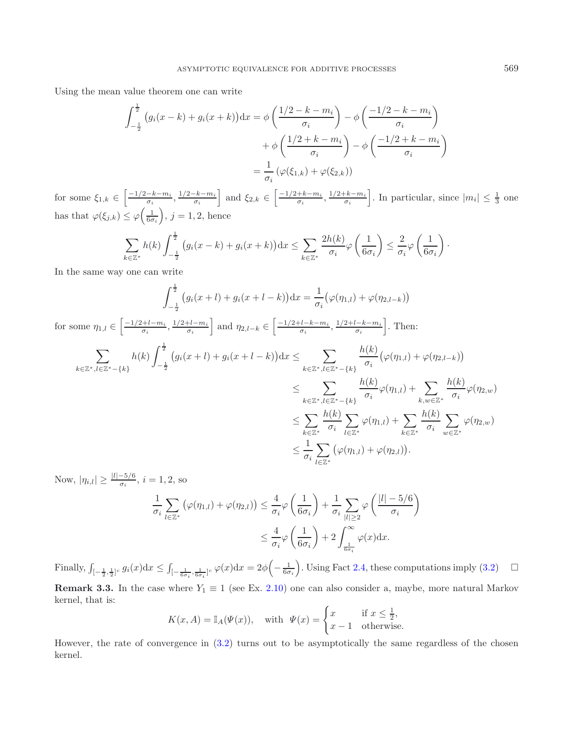Using the mean value theorem one can write

$$
\int_{-\frac{1}{2}}^{\frac{1}{2}} (g_i(x-k) + g_i(x+k)) dx = \phi \left( \frac{1/2 - k - m_i}{\sigma_i} \right) - \phi \left( \frac{-1/2 - k - m_i}{\sigma_i} \right)
$$

$$
+ \phi \left( \frac{1/2 + k - m_i}{\sigma_i} \right) - \phi \left( \frac{-1/2 + k - m_i}{\sigma_i} \right)
$$

$$
= \frac{1}{\sigma_i} (\varphi(\xi_{1,k}) + \varphi(\xi_{2,k}))
$$

for some  $\xi_{1,k} \in \left[\frac{-1/2 - k - m_i}{\sigma_i}, \frac{1/2 - k - m_i}{\sigma_i}\right]$  and  $\xi_{2,k} \in \left[\frac{-1/2 + k - m_i}{\sigma_i}, \frac{1/2 + k - m_i}{\sigma_i}\right]$ . In particular, since  $|m_i| \leq \frac{1}{3}$  one has that  $\varphi(\xi_{j,k}) \leq \varphi\left(\frac{1}{6\sigma_i}\right), j = 1, 2$ , hence

$$
\sum_{k\in\mathbb{Z}^*} h(k) \int_{-\frac{1}{2}}^{\frac{1}{2}} \left( g_i(x-k) + g_i(x+k) \right) dx \leq \sum_{k\in\mathbb{Z}^*} \frac{2h(k)}{\sigma_i} \varphi \left( \frac{1}{6\sigma_i} \right) \leq \frac{2}{\sigma_i} \varphi \left( \frac{1}{6\sigma_i} \right).
$$

In the same way one can write

$$
\int_{-\frac{1}{2}}^{\frac{1}{2}} (g_i(x+l) + g_i(x+l-k)) dx = \frac{1}{\sigma_i} (\varphi(\eta_{1,l}) + \varphi(\eta_{2,l-k}))
$$

for some 
$$
\eta_{1,l} \in \left[\frac{-1/2 + l - m_i}{\sigma_i}, \frac{1/2 + l - m_i}{\sigma_i}\right]
$$
 and  $\eta_{2,l-k} \in \left[\frac{-1/2 + l - k - m_i}{\sigma_i}, \frac{1/2 + l - k - m_i}{\sigma_i}\right]$ . Then:  
\n
$$
\sum_{k \in \mathbb{Z}^*, l \in \mathbb{Z}^* - \{k\}} h(k) \int_{-\frac{1}{2}}^{\frac{1}{2}} (g_i(x+l) + g_i(x+l-k)) dx \le \sum_{k \in \mathbb{Z}^*, l \in \mathbb{Z}^* - \{k\}} \frac{h(k)}{\sigma_i} (\varphi(\eta_{1,l}) + \varphi(\eta_{2,l-k}))
$$
\n
$$
\le \sum_{k \in \mathbb{Z}^*, l \in \mathbb{Z}^* - \{k\}} \frac{h(k)}{\sigma_i} \varphi(\eta_{1,l}) + \sum_{k, w \in \mathbb{Z}^*} \frac{h(k)}{\sigma_i} \varphi(\eta_{2,w})
$$
\n
$$
\le \sum_{k \in \mathbb{Z}^*} \frac{h(k)}{\sigma_i} \sum_{l \in \mathbb{Z}^*} \varphi(\eta_{1,l}) + \sum_{k \in \mathbb{Z}^*} \frac{h(k)}{\sigma_i} \sum_{w \in \mathbb{Z}^*} \varphi(\eta_{2,w})
$$
\n
$$
\le \frac{1}{\sigma_i} \sum_{l \in \mathbb{Z}^*} (\varphi(\eta_{1,l}) + \varphi(\eta_{2,l})).
$$

Now,  $|\eta_{i,l}| \ge \frac{|l|-5/6}{\sigma_i}$ ,  $i = 1, 2$ , so 1  $\sigma_i$  $\sum$ l∈Z<sup>∗</sup>  $(\varphi(\eta_{1,l}) + \varphi(\eta_{2,l})) \leq \frac{4}{\sigma_1}$  $\sigma_i$ <sup>'</sup>  $\begin{pmatrix} 1 \end{pmatrix}$  $6\sigma_i$  $+$  $\frac{1}{-}$  $\sigma_i$  $\sum$  $\sum_{|l|\geq 2} \varphi\left(\frac{|l|-5/6}{\sigma_i}\right)$  $\sigma_i$  $\leq$   $\frac{4}{1}$  $\sigma_i$ <sup>'</sup>  $\begin{pmatrix} 1 \end{pmatrix}$  $6\sigma_i$  $+ 2 \int_{0}^{\infty}$  $\int_{\frac{1}{6\sigma_i}} \varphi(x) dx.$ 

Finally,  $\int_{[-\frac{1}{2},\frac{1}{2}]^c} g_i(x) dx \leq \int_{[-\frac{1}{6\sigma_i},\frac{1}{6\sigma_i}]^c} \varphi(x) dx = 2\phi\left(-\frac{1}{6\sigma_i}\right)$ . Using Fact [2.4,](#page-4-3) these computations imply [\(3.2\)](#page-8-2)  $\Box$  $\Box$ **Remark 3.3.** In the case where  $Y_1 \equiv 1$  (see Ex. [2.10\)](#page-6-2) one can also consider a, maybe, more natural Markov kernel, that is:

 $\setminus$ 

$$
K(x, A) = \mathbb{I}_A(\Psi(x)), \quad \text{with} \ \ \Psi(x) = \begin{cases} x & \text{if } x \le \frac{1}{2}, \\ x - 1 & \text{otherwise.} \end{cases}
$$

<span id="page-9-0"></span>However, the rate of convergence in [\(3.2\)](#page-8-2) turns out to be asymptotically the same regardless of the chosen kernel.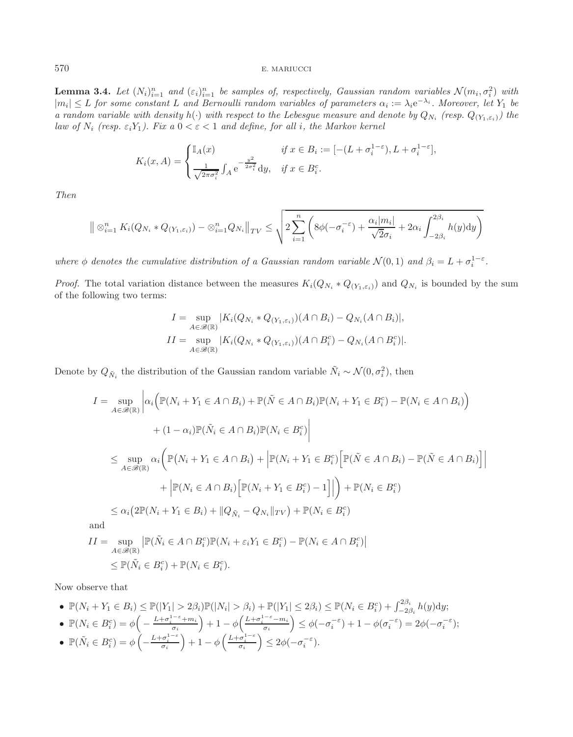**Lemma 3.4.** *Let*  $(N_i)_{i=1}^n$  *and*  $(\varepsilon_i)_{i=1}^n$  *be samples of, respectively, Gaussian random variables*  $\mathcal{N}(m_i, \sigma_i^2)$  *with*  $|m_i| \leq L$  for some constant L and Bernoulli random variables of parameters  $\alpha := \lambda_i e^{-\$  $|m_i|$  ≤ L for some constant L and Bernoulli random variables of parameters  $\alpha_i := \lambda_i e^{-\lambda_i}$ . Moreover, let  $Y_1$  be a random variable with density  $h(.)$  with respect to the Lebesque measure and denote by  $O_{Y_1}$  (resp.  $O$ *a random variable with density*  $h(\cdot)$  *with respect to the Lebesgue measure and denote by*  $Q_{N_i}$  *(resp.*  $Q_{(Y_1,\varepsilon_i)}$ *)* the *law of*  $N_i$  (resp.  $\varepsilon_i Y_1$ ). Fix a  $0 < \varepsilon < 1$  and define, for all i, the Markov kernel

$$
K_i(x, A) = \begin{cases} \mathbb{I}_A(x) & \text{if } x \in B_i := [-(L + \sigma_i^{1-\varepsilon}), L + \sigma_i^{1-\varepsilon}],\\ \frac{1}{\sqrt{2\pi\sigma_i^2}} \int_A e^{-\frac{y^2}{2\sigma_i^2}} \mathrm{d}y, & \text{if } x \in B_i^c. \end{cases}
$$

*Then*

$$
\| \otimes_{i=1}^n K_i(Q_{N_i} * Q_{(Y_1, \varepsilon_i)}) - \otimes_{i=1}^n Q_{N_i} \|_{TV} \leq \sqrt{2 \sum_{i=1}^n \left( 8\phi(-\sigma_i^{-\varepsilon}) + \frac{\alpha_i |m_i|}{\sqrt{2}\sigma_i} + 2\alpha_i \int_{-2\beta_i}^{2\beta_i} h(y) dy \right)}
$$

*where*  $\phi$  *denotes the cumulative distribution of a Gaussian random variable*  $\mathcal{N}(0, 1)$  *and*  $\beta_i = L + \sigma_i^{1-\epsilon}$ *.* 

*Proof.* The total variation distance between the measures  $K_i(Q_{N_i} * Q_{(Y_1, \varepsilon_i)})$  and  $Q_{N_i}$  is bounded by the sum of the following two terms:

$$
I = \sup_{A \in \mathcal{B}(\mathbb{R})} |K_i(Q_{N_i} * Q_{(Y_1, \varepsilon_i)})(A \cap B_i) - Q_{N_i}(A \cap B_i)|,
$$
  
\n
$$
II = \sup_{A \in \mathcal{B}(\mathbb{R})} |K_i(Q_{N_i} * Q_{(Y_1, \varepsilon_i)})(A \cap B_i^c) - Q_{N_i}(A \cap B_i^c)|.
$$

Denote by  $Q_{\tilde{N}_i}$  the distribution of the Gaussian random variable  $\tilde{N}_i \sim \mathcal{N}(0, \sigma_i^2)$ , then

$$
I = \sup_{A \in \mathscr{B}(\mathbb{R})} \left| \alpha_i \left( \mathbb{P}(N_i + Y_1 \in A \cap B_i) + \mathbb{P}(\tilde{N} \in A \cap B_i) \mathbb{P}(N_i + Y_1 \in B_i^c) - \mathbb{P}(N_i \in A \cap B_i) \right) \right|
$$
  
+ 
$$
(1 - \alpha_i) \mathbb{P}(\tilde{N}_i \in A \cap B_i) \mathbb{P}(N_i \in B_i^c) \Big|
$$
  

$$
\leq \sup_{A \in \mathscr{B}(\mathbb{R})} \alpha_i \left( \mathbb{P}(N_i + Y_1 \in A \cap B_i) + \left| \mathbb{P}(N_i + Y_1 \in B_i^c) \left[ \mathbb{P}(\tilde{N} \in A \cap B_i) - \mathbb{P}(\tilde{N} \in A \cap B_i) \right] \right|
$$
  
+ 
$$
\left| \mathbb{P}(N_i \in A \cap B_i) \left[ \mathbb{P}(N_i + Y_1 \in B_i^c) - 1 \right] \right| \right) + \mathbb{P}(N_i \in B_i^c)
$$
  

$$
\leq \alpha_i (2 \mathbb{P}(N_i + Y_1 \in B_i) + ||Q_{\tilde{N}_i} - Q_{N_i}||_{TV}) + \mathbb{P}(N_i \in B_i^c)
$$
  
and  

$$
II = \sup_{A \in \mathscr{B}(\mathbb{R})} \left| \mathbb{P}(\tilde{N}_i \in A \cap B_i^c) \mathbb{P}(N_i + \varepsilon_i Y_1 \in B_i^c) - \mathbb{P}(N_i \in A \cap B_i^c) \right|
$$
  

$$
\leq \mathbb{P}(\tilde{N}_i \in B_i^c) + \mathbb{P}(N_i \in B_i^c).
$$

Now observe that

$$
\bullet \ \mathbb{P}(N_i + Y_1 \in B_i) \leq \mathbb{P}(|Y_1| > 2\beta_i)\mathbb{P}(|N_i| > \beta_i) + \mathbb{P}(|Y_1| \leq 2\beta_i) \leq \mathbb{P}(N_i \in B_i^c) + \int_{-2\beta_i}^{2\beta_i} h(y) \mathrm{d}y;
$$

$$
\bullet \ \mathbb{P}(N_i \in B_i^c) = \phi\left(-\frac{L + \sigma_i^{1-\varepsilon} + m_i}{\sigma_i}\right) + 1 - \phi\left(\frac{L + \sigma_i^{1-\varepsilon} - m_i}{\sigma_i}\right) \leq \phi(-\sigma_i^{-\varepsilon}) + 1 - \phi(\sigma_i^{-\varepsilon}) = 2\phi(-\sigma_i^{-\varepsilon});
$$

• 
$$
\mathbb{P}(\tilde{N}_i \in B_i^c) = \phi\left(-\frac{L + \sigma_i^{1-\varepsilon}}{\sigma_i}\right) + 1 - \phi\left(\frac{L + \sigma_i^{1-\varepsilon}}{\sigma_i}\right) \leq 2\phi(-\sigma_i^{-\varepsilon}).
$$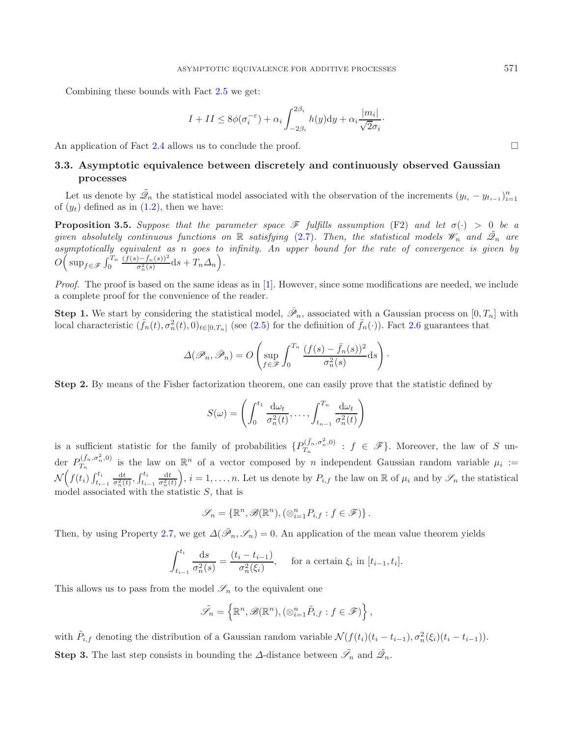Combining these bounds with Fact [2.5](#page-4-4) we get:

<span id="page-11-1"></span>
$$
I + II \le 8\phi(\sigma_i^{-\varepsilon}) + \alpha_i \int_{-2\beta_i}^{2\beta_i} h(y) dy + \alpha_i \frac{|m_i|}{\sqrt{2}\sigma_i}.
$$

<span id="page-11-0"></span>An application of Fact [2.4](#page-4-3) allows us to conclude the proof.  $\Box$ 

# **3.3. Asymptotic equivalence between discretely and continuously observed Gaussian processes**

Let us denote by  $\mathcal{Q}_n$  the statistical model associated with the observation of the increments  $(y_{t_i} - y_{t_{i-1}})_{i=1}^n$ <br>(*u*) defined as in (1.2) then we have: of  $(y_t)$  defined as in  $(1.2)$ , then we have:

**Proposition 3.5.** *Suppose that the parameter space*  $\mathscr F$  *fulfills assumption* (F2) *and let*  $\sigma(\cdot) > 0$  *be a given absolutely continuous functions on*  $\mathbb R$  *satisfying* [\(2.7\)](#page-5-2). Then, the statistical models  $\mathscr W_n$  and  $\tilde{\mathscr Q}_n$  are *asymptotically equivalent as* n *goes to infinity. An upper bound for the rate of convergence is given by* O  $\left(\sup_{f \in \mathscr{F}} \int_0^{T_n} \frac{(f(s) - \bar{f}_n(s))^2}{\sigma_n^2(s)} ds + T_n \Delta_n\right).$ 

*Proof.* The proof is based on the same ideas as in [\[1\]](#page-16-0). However, since some modifications are needed, we include a complete proof for the convenience of the reader.

**Step 1.** We start by considering the statistical model,  $\mathscr{P}_n$ , associated with a Gaussian process on  $[0, T_n]$  with local characteristic  $(\bar{f}_n(t), \sigma_n^2(t), 0)_{t \in [0,T_n]}$  (see [\(2.5\)](#page-5-3) for the definition of  $\bar{f}_n(\cdot)$ ). Fact [2.6](#page-5-4) guarantees that

$$
\Delta(\mathscr{P}_n, \bar{\mathscr{P}}_n) = O\left(\sup_{f \in \mathscr{F}} \int_0^{T_n} \frac{(f(s) - \bar{f}_n(s))^2}{\sigma_n^2(s)} ds\right).
$$

**Step 2.** By means of the Fisher factorization theorem, one can easily prove that the statistic defined by

$$
S(\omega) = \left( \int_0^{t_1} \frac{\mathrm{d}\omega_t}{\sigma_n^2(t)}, \dots, \int_{t_{n-1}}^{T_n} \frac{\mathrm{d}\omega_t}{\sigma_n^2(t)} \right)
$$

is a sufficient statistic for the family of probabilities  $\{P_{T_n}^{(\bar{f}_n,\sigma_n^2,0)} : f \in \mathscr{F}\}\.$  Moreover, the law of S under  $P_{T_n}^{(\bar{f}_n,\sigma_n^2,0)}$  is the law on  $\mathbb{R}^n$  of a vector composed by n independent Gaussian random variable  $\mu_i :=$  $\mathcal{N}\left(f(t_i)\int_{t_{i-1}}^{t_i}\frac{\mathrm{d}t}{\sigma_n^2(t)},\right)$  $f_{t_{i-1}}^{t_i} \frac{dt}{\sigma_n^2(t)}$ ,  $i = 1, \ldots, n$ . Let us denote by  $P_{i,f}$  the law on  $\mathbb R$  of  $\mu_i$  and by  $\mathscr S_n$  the statistical model associated with the statistic  $S$ , that is

$$
\mathscr{S}_n = \{ \mathbb{R}^n, \mathscr{B}(\mathbb{R}^n), (\otimes_{i=1}^n P_{i,f} : f \in \mathscr{F}) \}.
$$

Then, by using Property [2.7,](#page-5-5) we get  $\Delta(\bar{\mathscr{P}}_n, \mathscr{S}_n) = 0$ . An application of the mean value theorem yields

$$
\int_{t_{i-1}}^{t_i} \frac{\mathrm{d}s}{\sigma_n^2(s)} = \frac{(t_i - t_{i-1})}{\sigma_n^2(\xi_i)}, \quad \text{for a certain } \xi_i \text{ in } [t_{i-1}, t_i].
$$

This allows us to pass from the model  $\mathscr{S}_n$  to the equivalent one

$$
\tilde{\mathscr{S}}_n = \left\{ \mathbb{R}^n, \mathscr{B}(\mathbb{R}^n), (\otimes_{i=1}^n \tilde{P}_{i,f} : f \in \mathscr{F}) \right\},\
$$

with  $\tilde{P}_{i,f}$  denoting the distribution of a Gaussian random variable  $\mathcal{N}(f(t_i)(t_i - t_{i-1}), \sigma_n^2(\xi_i)(t_i - t_{i-1})).$ **Step 3.** The last step consists in bounding the  $\Delta$ -distance between  $\tilde{\mathscr{S}}_n$  and  $\tilde{\mathscr{Q}}_n$ .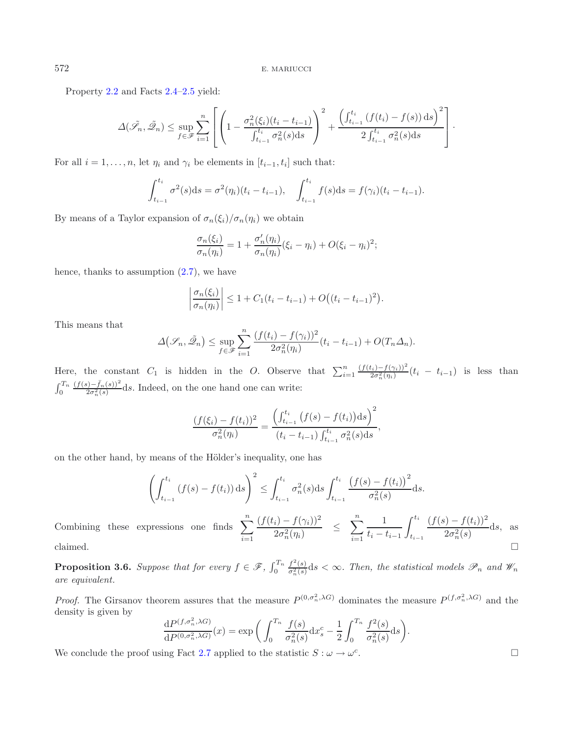Property [2.2](#page-4-1) and Facts [2.4–](#page-4-3)[2.5](#page-4-4) yield:

$$
\Delta(\tilde{\mathscr{S}}_n, \tilde{\mathscr{Q}}_n) \le \sup_{f \in \mathscr{F}} \sum_{i=1}^n \left[ \left( 1 - \frac{\sigma_n^2(\xi_i)(t_i - t_{i-1})}{\int_{t_{i-1}}^{t_i} \sigma_n^2(s) ds} \right)^2 + \frac{\left( \int_{t_{i-1}}^{t_i} (f(t_i) - f(s)) ds \right)^2}{2 \int_{t_{i-1}}^{t_i} \sigma_n^2(s) ds} \right].
$$

For all  $i = 1, \ldots, n$ , let  $\eta_i$  and  $\gamma_i$  be elements in  $[t_{i-1}, t_i]$  such that:

$$
\int_{t_{i-1}}^{t_i} \sigma^2(s) \, ds = \sigma^2(\eta_i)(t_i - t_{i-1}), \quad \int_{t_{i-1}}^{t_i} f(s) \, ds = f(\gamma_i)(t_i - t_{i-1}).
$$

By means of a Taylor expansion of  $\sigma_n(\xi_i)/\sigma_n(\eta_i)$  we obtain

$$
\frac{\sigma_n(\xi_i)}{\sigma_n(\eta_i)} = 1 + \frac{\sigma'_n(\eta_i)}{\sigma_n(\eta_i)} (\xi_i - \eta_i) + O(\xi_i - \eta_i)^2;
$$

hence, thanks to assumption [\(2.7\)](#page-5-2), we have

$$
\left|\frac{\sigma_n(\xi_i)}{\sigma_n(\eta_i)}\right| \le 1 + C_1(t_i - t_{i-1}) + O((t_i - t_{i-1})^2).
$$

This means that

Combining these

$$
\Delta(\mathcal{S}_n, \tilde{\mathcal{Q}}_n) \le \sup_{f \in \mathcal{F}} \sum_{i=1}^n \frac{(f(t_i) - f(\gamma_i))^2}{2\sigma_n^2(\eta_i)} (t_i - t_{i-1}) + O(T_n \Delta_n).
$$

Here, the constant  $C_1$  is hidden in the O. Observe that  $\sum_{i=1}^n \frac{(f(t_i)-f(\gamma_i))^2}{2\sigma_n^2(\eta_i)}(t_i - t_{i-1})$  is less than  $\int_0^{T_n} \frac{(f(s) - \bar{f}_n(s))^2}{2\sigma_n^2(s)} ds$ . Indeed, on the one hand one can write:

$$
\frac{(f(\xi_i) - f(t_i))^2}{\sigma_n^2(\eta_i)} = \frac{\left(\int_{t_{i-1}}^{t_i} (f(s) - f(t_i)) \, ds\right)^2}{(t_i - t_{i-1}) \int_{t_{i-1}}^{t_i} \sigma_n^2(s) \, ds},
$$

on the other hand, by means of the Hölder's inequality, one has

$$
\left(\int_{t_{i-1}}^{t_i} (f(s) - f(t_i)) ds\right)^2 \le \int_{t_{i-1}}^{t_i} \sigma_n^2(s) ds \int_{t_{i-1}}^{t_i} \frac{\left(f(s) - f(t_i)\right)^2}{\sigma_n^2(s)} ds.
$$
  
Combining these expressions one finds 
$$
\sum_{i=1}^n \frac{(f(t_i) - f(\gamma_i))^2}{2\sigma_n^2(\eta_i)} \le \sum_{i=1}^n \frac{1}{t_i - t_{i-1}} \int_{t_{i-1}}^{t_i} \frac{(f(s) - f(t_i))^2}{2\sigma_n^2(s)} ds,
$$
 as claimed.

<span id="page-12-0"></span>**Proposition 3.6.** *Suppose that for every*  $f \in \mathcal{F}$ ,  $\int_0^{T_n}$  $f^2(s)$  $\frac{\partial f(x)}{\partial x}(s) \leq \infty$ . Then, the statistical models  $\mathscr{P}_n$  and  $\mathscr{W}_n$ *are equivalent.*

*Proof.* The Girsanov theorem assures that the measure  $P^{(0,\sigma_n^2,\lambda G)}$  dominates the measure  $P^{(f,\sigma_n^2,\lambda G)}$  and the domainty is given by density is given by

$$
\frac{\mathrm{d}P^{(f,\sigma_n^2,\lambda G)}}{\mathrm{d}P^{(0,\sigma_n^2,\lambda G)}}(x) = \exp\bigg(\int_0^{T_n} \frac{f(s)}{\sigma_n^2(s)} \mathrm{d}x_s^c - \frac{1}{2} \int_0^{T_n} \frac{f^2(s)}{\sigma_n^2(s)} \mathrm{d}s\bigg).
$$

We conclude the proof using Fact [2.7](#page-5-5) applied to the statistic  $S : \omega \to \omega^c$ .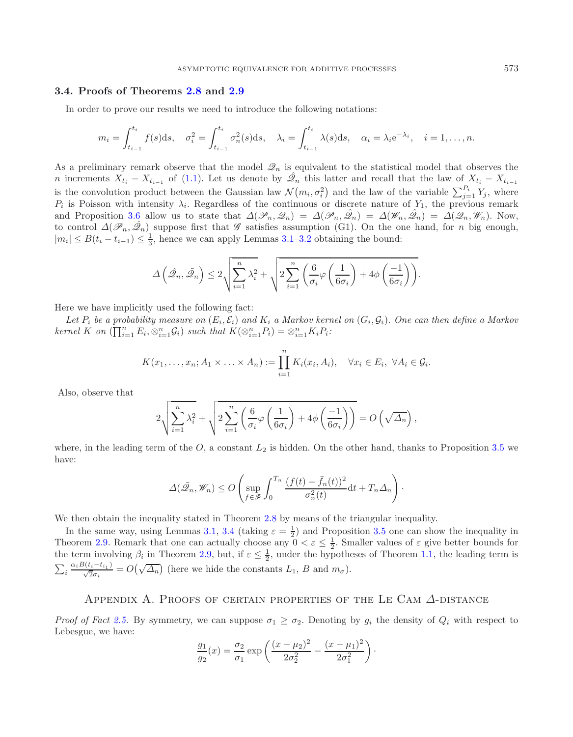### <span id="page-13-0"></span>**3.4. Proofs of Theorems [2.8](#page-6-1) and [2.9](#page-6-3)**

In order to prove our results we need to introduce the following notations:

$$
m_i = \int_{t_{i-1}}^{t_i} f(s) \, ds, \quad \sigma_i^2 = \int_{t_{i-1}}^{t_i} \sigma_n^2(s) \, ds, \quad \lambda_i = \int_{t_{i-1}}^{t_i} \lambda(s) \, ds, \quad \alpha_i = \lambda_i e^{-\lambda_i}, \quad i = 1, \dots, n.
$$

As a preliminary remark observe that the model  $\mathcal{Q}_n$  is equivalent to the statistical model that observes the n increments  $X_{t_i} - X_{t_{i-1}}$  of [\(1.1\)](#page-0-0). Let us denote by  $\hat{\mathscr{Q}}_n$  this latter and recall that the law of  $X_{t_i} - X_{t_{i-1}}$ is the convolution product between the Gaussian law  $\mathcal{N}(m_i, \sigma_i^2)$  and the law of the variable  $\sum_{j=1}^{P_i} Y_j$ , where  $P_i$  is Poisson with intensity  $\lambda_i$ . Regardless of the continuous or discrete nature of  $Y_i$ , the p  $P_i$  is Poisson with intensity  $\lambda_i$ . Regardless of the continuous or discrete nature of  $Y_1$ , the previous remark and Proposition [3.6](#page-12-0) allow us to state that  $\Delta(\mathcal{P}_n, \mathcal{Q}_n) = \Delta(\mathcal{P}_n, \hat{\mathcal{Q}}_n) = \Delta(\mathcal{W}_n, \hat{\mathcal{Q}}_n) = \Delta(\mathcal{Q}_n, \mathcal{W}_n)$ . Now, to control  $\Delta(\mathcal{P}, \hat{\mathcal{Q}})$  suppose first that G satisfies assumption (G1). On the on to control  $\Delta(\mathcal{P}_n, \hat{\mathcal{Q}}_n)$  suppose first that  $\mathcal G$  satisfies assumption (G1). On the one hand, for *n* big enough,  $|m| \leq B(t-t_1) \leq \frac{1}{2}$  hence we can apply Lemmas 3.1–3.2 obtaining the bound:  $|m_i| \leq B(t_i - t_{i-1}) \leq \frac{1}{3}$ , hence we can apply Lemmas [3.1–](#page-7-3)[3.2](#page-8-1) obtaining the bound:

$$
\Delta\left(\hat{\mathscr{Q}}_n, \tilde{\mathscr{Q}}_n\right) \leq 2\sqrt{\sum_{i=1}^n \lambda_i^2} + \sqrt{2\sum_{i=1}^n \left(\frac{6}{\sigma_i}\varphi\left(\frac{1}{6\sigma_i}\right) + 4\phi\left(\frac{-1}{6\sigma_i}\right)\right)}.
$$

Here we have implicitly used the following fact:

Let  $P_i$  be a probability measure on  $(E_i, \mathcal{E}_i)$  and  $K_i$  a Markov kernel on  $(G_i, \mathcal{G}_i)$ . One can then define a Markov *kernel*  $\stackrel{\circ}{K}$  *on*  $(\prod_{i=1}^{n} E_i, \otimes_{i=1}^{n} G_i)$  *such that*  $K(\otimes_{i=1}^{n} P_i) = \otimes_{i=1}^{n} K_i P_i$ .

$$
K(x_1,\ldots,x_n;A_1\times\ldots\times A_n):=\prod_{i=1}^n K_i(x_i,A_i),\quad \forall x_i\in E_i,\ \forall A_i\in \mathcal{G}_i.
$$

Also, observe that

$$
2\sqrt{\sum_{i=1}^{n} \lambda_i^2} + \sqrt{2\sum_{i=1}^{n} \left(\frac{6}{\sigma_i} \varphi\left(\frac{1}{6\sigma_i}\right) + 4\phi\left(\frac{-1}{6\sigma_i}\right)\right)} = O\left(\sqrt{\Delta_n}\right),
$$

where, in the leading term of the  $O$ , a constant  $L_2$  is hidden. On the other hand, thanks to Proposition [3.5](#page-11-1) we have:

$$
\Delta(\tilde{\mathcal{Q}}_n, \mathscr{W}_n) \le O\left(\sup_{f \in \mathscr{F}} \int_0^{T_n} \frac{(f(t) - \bar{f}_n(t))^2}{\sigma_n^2(t)} \mathrm{d}t + T_n \Delta_n\right).
$$

We then obtain the inequality stated in Theorem [2.8](#page-6-1) by means of the triangular inequality.

In the same way, using Lemmas [3.1,](#page-7-3) [3.4](#page-9-0) (taking  $\varepsilon = \frac{1}{2}$ ) and Proposition [3.5](#page-11-1) one can show the inequality in<br>negative  $2.9$  Bennark that one can actually choose any  $0 < \varepsilon < \frac{1}{2}$ . Smaller values of  $\varepsilon$  give bette Theorem [2.9.](#page-6-3) Remark that one can actually choose any  $0 < \varepsilon \leq \frac{1}{2}$ . Smaller values of  $\varepsilon$  give better bounds for the term involving  $\beta$ , in Theorem 2.9. but if  $\varepsilon < \frac{1}{2}$  under the hypotheses of Theorem 1.1, th the term involving  $\beta_i$  in Theorem [2.9,](#page-6-3) but, if  $\varepsilon \leq \frac{1}{2}$ , under the hypotheses of Theorem [1.1,](#page-2-1) the leading term is  $\sum_i \frac{\alpha_i B(t_i-t_{i_1})}{\sqrt{2}\sigma_i} = O(\sqrt{\Delta_n})$  (here we hide the constants  $L_1$ , B and  $m_{\sigma}$ ).

# APPENDIX A. PROOFS OF CERTAIN PROPERTIES OF THE LE CAM  $\Delta$ -DISTANCE

*Proof of Fact* [2.5.](#page-4-4) By symmetry, we can suppose  $\sigma_1 \geq \sigma_2$ . Denoting by  $g_i$  the density of  $Q_i$  with respect to Lebesgue, we have:

$$
\frac{g_1}{g_2}(x) = \frac{\sigma_2}{\sigma_1} \exp\left(\frac{(x-\mu_2)^2}{2\sigma_2^2} - \frac{(x-\mu_1)^2}{2\sigma_1^2}\right).
$$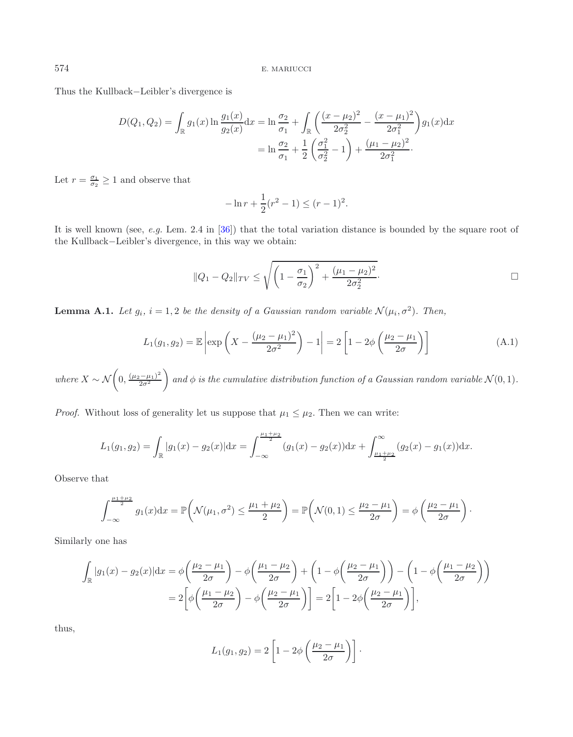Thus the Kullback−Leibler's divergence is

$$
D(Q_1, Q_2) = \int_{\mathbb{R}} g_1(x) \ln \frac{g_1(x)}{g_2(x)} dx = \ln \frac{\sigma_2}{\sigma_1} + \int_{\mathbb{R}} \left( \frac{(x - \mu_2)^2}{2\sigma_2^2} - \frac{(x - \mu_1)^2}{2\sigma_1^2} \right) g_1(x) dx
$$

$$
= \ln \frac{\sigma_2}{\sigma_1} + \frac{1}{2} \left( \frac{\sigma_1^2}{\sigma_2^2} - 1 \right) + \frac{(\mu_1 - \mu_2)^2}{2\sigma_1^2}.
$$

Let  $r = \frac{\sigma_1}{\sigma_2} \ge 1$  and observe that

$$
-\ln r + \frac{1}{2}(r^2 - 1) \le (r - 1)^2.
$$

It is well known (see, *e.g.* Lem. 2.4 in [\[36](#page-17-13)]) that the total variation distance is bounded by the square root of the Kullback−Leibler's divergence, in this way we obtain:

$$
||Q_1 - Q_2||_{TV} \le \sqrt{\left(1 - \frac{\sigma_1}{\sigma_2}\right)^2 + \frac{(\mu_1 - \mu_2)^2}{2\sigma_2^2}}.
$$

<span id="page-14-0"></span>**Lemma A.1.** *Let*  $g_i$ *,*  $i = 1, 2$  *be the density of a Gaussian random variable*  $\mathcal{N}(\mu_i, \sigma^2)$ *. Then,* 

$$
L_1(g_1, g_2) = \mathbb{E}\left[\exp\left(X - \frac{(\mu_2 - \mu_1)^2}{2\sigma^2}\right) - 1\right] = 2\left[1 - 2\phi\left(\frac{\mu_2 - \mu_1}{2\sigma}\right)\right]
$$
(A.1)

 $where X \sim \mathcal{N}\left(0, \frac{(\mu_2 - \mu_1)^2}{2\sigma^2}\right)$  and  $\phi$  is the cumulative distribution function of a Gaussian random variable  $\mathcal{N}(0, 1)$ .

*Proof.* Without loss of generality let us suppose that  $\mu_1 \leq \mu_2$ . Then we can write:

$$
L_1(g_1, g_2) = \int_{\mathbb{R}} |g_1(x) - g_2(x)| dx = \int_{-\infty}^{\frac{\mu_1 + \mu_2}{2}} (g_1(x) - g_2(x)) dx + \int_{\frac{\mu_1 + \mu_2}{2}}^{\infty} (g_2(x) - g_1(x)) dx.
$$

Observe that

$$
\int_{-\infty}^{\frac{\mu_1+\mu_2}{2}} g_1(x) dx = \mathbb{P}\left(\mathcal{N}(\mu_1, \sigma^2) \le \frac{\mu_1+\mu_2}{2}\right) = \mathbb{P}\left(\mathcal{N}(0, 1) \le \frac{\mu_2-\mu_1}{2\sigma}\right) = \phi\left(\frac{\mu_2-\mu_1}{2\sigma}\right).
$$

Similarly one has

$$
\int_{\mathbb{R}} |g_1(x) - g_2(x)| dx = \phi\left(\frac{\mu_2 - \mu_1}{2\sigma}\right) - \phi\left(\frac{\mu_1 - \mu_2}{2\sigma}\right) + \left(1 - \phi\left(\frac{\mu_2 - \mu_1}{2\sigma}\right)\right) - \left(1 - \phi\left(\frac{\mu_1 - \mu_2}{2\sigma}\right)\right)
$$

$$
= 2\left[\phi\left(\frac{\mu_1 - \mu_2}{2\sigma}\right) - \phi\left(\frac{\mu_2 - \mu_1}{2\sigma}\right)\right] = 2\left[1 - 2\phi\left(\frac{\mu_2 - \mu_1}{2\sigma}\right)\right],
$$

thus,

$$
L_1(g_1, g_2) = 2 \left[ 1 - 2\phi \left( \frac{\mu_2 - \mu_1}{2\sigma} \right) \right].
$$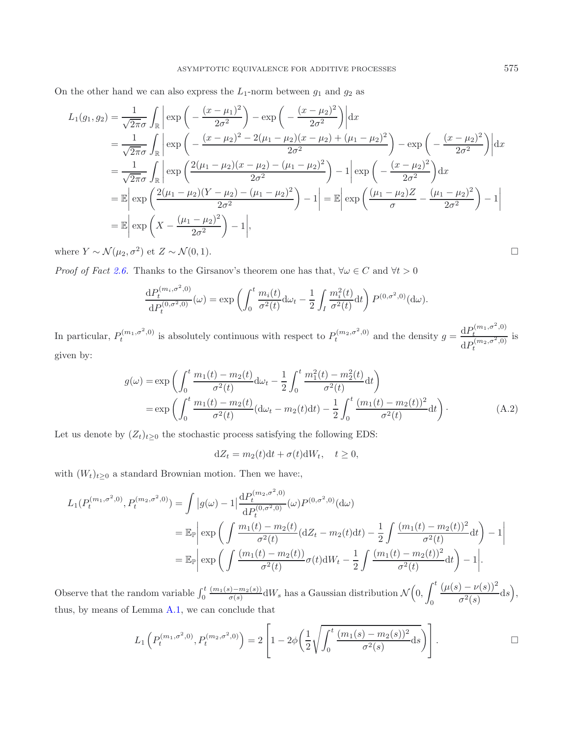On the other hand we can also express the  $L_1$ -norm between  $g_1$  and  $g_2$  as

$$
L_1(g_1, g_2) = \frac{1}{\sqrt{2\pi}\sigma} \int_{\mathbb{R}} \left| \exp\left(-\frac{(x-\mu_1)^2}{2\sigma^2}\right) - \exp\left(-\frac{(x-\mu_2)^2}{2\sigma^2}\right) \right| dx
$$
  
\n
$$
= \frac{1}{\sqrt{2\pi}\sigma} \int_{\mathbb{R}} \left| \exp\left(-\frac{(x-\mu_2)^2 - 2(\mu_1 - \mu_2)(x-\mu_2) + (\mu_1 - \mu_2)^2}{2\sigma^2}\right) - \exp\left(-\frac{(x-\mu_2)^2}{2\sigma^2}\right) \right| dx
$$
  
\n
$$
= \frac{1}{\sqrt{2\pi}\sigma} \int_{\mathbb{R}} \left| \exp\left(\frac{2(\mu_1 - \mu_2)(x-\mu_2) - (\mu_1 - \mu_2)^2}{2\sigma^2}\right) - 1 \right| \exp\left(-\frac{(x-\mu_2)^2}{2\sigma^2}\right) dx
$$
  
\n
$$
= \mathbb{E} \left| \exp\left(\frac{2(\mu_1 - \mu_2)(Y - \mu_2) - (\mu_1 - \mu_2)^2}{2\sigma^2}\right) - 1 \right| = \mathbb{E} \left| \exp\left(\frac{(\mu_1 - \mu_2)Z}{\sigma} - \frac{(\mu_1 - \mu_2)^2}{2\sigma^2}\right) - 1 \right|
$$
  
\n
$$
= \mathbb{E} \left| \exp\left(X - \frac{(\mu_1 - \mu_2)^2}{2\sigma^2}\right) - 1 \right|,
$$

where  $Y \sim \mathcal{N}(\mu_2, \sigma^2)$  et  $Z \sim \mathcal{N}(0, 1)$ .

*Proof of Fact* [2.6.](#page-5-4) Thanks to the Girsanov's theorem one has that,  $\forall \omega \in C$  and  $\forall t > 0$ 

$$
\frac{\mathrm{d}P_t^{(m_i,\sigma^2,0)}}{\mathrm{d}P_t^{(0,\sigma^2,0)}}(\omega) = \exp\left(\int_0^t \frac{m_i(t)}{\sigma^2(t)} \mathrm{d}\omega_t - \frac{1}{2} \int_I \frac{m_i^2(t)}{\sigma^2(t)} \mathrm{d}t\right) P^{(0,\sigma^2,0)}(\mathrm{d}\omega).
$$

In particular,  $P_t^{(m_1,\sigma^2,0)}$  is absolutely continuous with respect to  $P_t^{(m_2,\sigma^2,0)}$  and the density  $g = \frac{\mathrm{d}P_t^{(m_1,\sigma^2,0)}}{\mathrm{d}P_t^{(m_2,\sigma^2,0)}}$ <br>given by: is given by:

$$
g(\omega) = \exp\left(\int_0^t \frac{m_1(t) - m_2(t)}{\sigma^2(t)} d\omega_t - \frac{1}{2} \int_0^t \frac{m_1^2(t) - m_2^2(t)}{\sigma^2(t)} dt\right)
$$
  
= 
$$
\exp\left(\int_0^t \frac{m_1(t) - m_2(t)}{\sigma^2(t)} (d\omega_t - m_2(t)dt) - \frac{1}{2} \int_0^t \frac{(m_1(t) - m_2(t))^2}{\sigma^2(t)} dt\right).
$$
 (A.2)

Let us denote by  $(Z_t)_{t\geq 0}$  the stochastic process satisfying the following EDS:

$$
dZ_t = m_2(t)dt + \sigma(t)dW_t, \quad t \ge 0,
$$

with  $(W_t)_{t\geq 0}$  a standard Brownian motion. Then we have:,

$$
L_1(P_t^{(m_1, \sigma^2, 0)}, P_t^{(m_2, \sigma^2, 0)}) = \int |g(\omega) - 1| \frac{dP_t^{(m_2, \sigma^2, 0)}}{dP_t^{(0, \sigma^2, 0)}}(\omega) P^{(0, \sigma^2, 0)}(\mathrm{d}\omega)
$$
  
\n
$$
= \mathbb{E}_{\mathbb{P}} \left| \exp\left(\int \frac{m_1(t) - m_2(t)}{\sigma^2(t)} (\mathrm{d}Z_t - m_2(t) \mathrm{d}t) - \frac{1}{2} \int \frac{(m_1(t) - m_2(t))^2}{\sigma^2(t)} \mathrm{d}t\right) - 1 \right|
$$
  
\n
$$
= \mathbb{E}_{\mathbb{P}} \left| \exp\left(\int \frac{(m_1(t) - m_2(t))}{\sigma^2(t)} \sigma(t) \mathrm{d}W_t - \frac{1}{2} \int \frac{(m_1(t) - m_2(t))^2}{\sigma^2(t)} \mathrm{d}t\right) - 1 \right|.
$$

Observe that the random variable  $\int_0^t \frac{(m_1(s)-m_2(s))}{\sigma(s)} dW_s$  has a Gaussian distribution  $\mathcal{N}\left(0, \int_0^t \frac{1}{\sigma(s)} dW_s$  $\int_0^t \frac{(\mu(s)-\nu(s))^2}{\sigma^2(s)}$  $rac{\partial^2 (s)}{\partial^2 (s)} ds,$ thus, by means of Lemma [A.1,](#page-14-0) we can conclude that

$$
L_1\left(P_t^{(m_1,\sigma^2,0)}, P_t^{(m_2,\sigma^2,0)}\right) = 2\left[1 - 2\phi\left(\frac{1}{2}\sqrt{\int_0^t \frac{(m_1(s) - m_2(s))^2}{\sigma^2(s)}}\mathrm{d}s\right)\right].
$$

$$
\Box
$$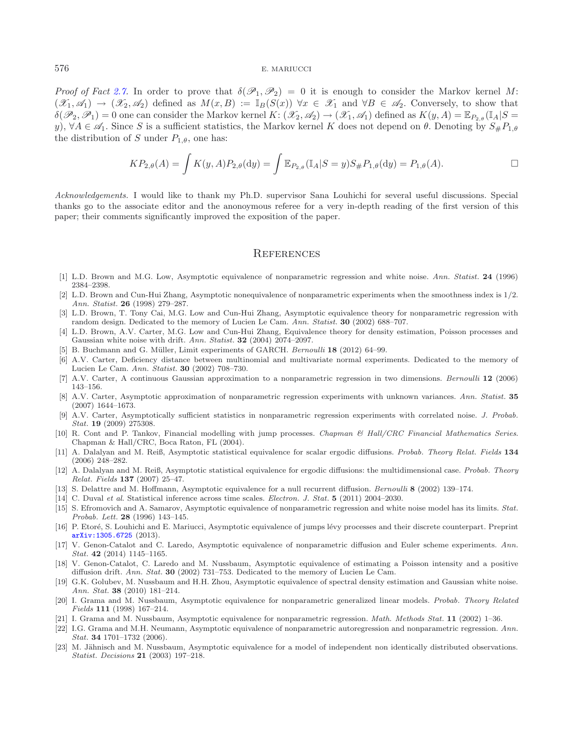*Proof of Fact* [2.7.](#page-5-5) In order to prove that  $\delta(\mathcal{P}_1, \mathcal{P}_2) = 0$  it is enough to consider the Markov kernel M:  $(\mathscr{X}_1, \mathscr{A}_1) \rightarrow (\mathscr{X}_2, \mathscr{A}_2)$  defined as  $M(x, B) := \mathbb{I}_B(S(x))$   $\forall x \in \mathscr{X}_1$  and  $\forall B \in \mathscr{A}_2$ . Conversely, to show that  $\delta(\mathscr{P}_2, \mathscr{P}_1) = 0$  one can consider the Markov kernel  $K: (\mathscr{X}_2, \mathscr{A}_2) \to (\mathscr{X}_1, \mathscr{A}_1)$  defined as  $K(y, A) = \mathbb{E}_{P_{2,\theta}}(\mathbb{I}_A | S = \mathbb{I}_A)$ y),  $\forall A \in \mathscr{A}_1$ . Since S is a sufficient statistics, the Markov kernel K does not depend on  $\theta$ . Denoting by  $S_{\#}P_{1,\theta}$ the distribution of S under  $P_{1,\theta}$ , one has:

$$
KP_{2,\theta}(A) = \int K(y,A)P_{2,\theta}(\mathrm{d}y) = \int \mathbb{E}_{P_{2,\theta}}(\mathbb{I}_A|S=y)S_{\#}P_{1,\theta}(\mathrm{d}y) = P_{1,\theta}(A). \square
$$

*Acknowledgements.* I would like to thank my Ph.D. supervisor Sana Louhichi for several useful discussions. Special thanks go to the associate editor and the anonoymous referee for a very in-depth reading of the first version of this paper; their comments significantly improved the exposition of the paper.

## **REFERENCES**

- <span id="page-16-0"></span>[1] L.D. Brown and M.G. Low, Asymptotic equivalence of nonparametric regression and white noise. *Ann. Statist.* **24** (1996) 2384–2398.
- <span id="page-16-16"></span>[2] L.D. Brown and Cun-Hui Zhang, Asymptotic nonequivalence of nonparametric experiments when the smoothness index is 1*/*2. *Ann. Statist.* **26** (1998) 279–287.
- <span id="page-16-1"></span>[3] L.D. Brown, T. Tony Cai, M.G. Low and Cun-Hui Zhang, Asymptotic equivalence theory for nonparametric regression with random design. Dedicated to the memory of Lucien Le Cam. *Ann. Statist.* **30** (2002) 688–707.
- <span id="page-16-5"></span>[4] L.D. Brown, A.V. Carter, M.G. Low and Cun-Hui Zhang, Equivalence theory for density estimation, Poisson processes and Gaussian white noise with drift. *Ann. Statist.* **32** (2004) 2074–2097.
- [5] B. Buchmann and G. M¨uller, Limit experiments of GARCH. *Bernoulli* **18** (2012) 64–99.
- <span id="page-16-14"></span><span id="page-16-6"></span>[6] A.V. Carter, Deficiency distance between multinomial and multivariate normal experiments. Dedicated to the memory of Lucien Le Cam. *Ann. Statist.* **30** (2002) 708–730.
- <span id="page-16-2"></span>[7] A.V. Carter, A continuous Gaussian approximation to a nonparametric regression in two dimensions. *Bernoulli* **12** (2006) 143–156.
- <span id="page-16-21"></span>[8] A.V. Carter, Asymptotic approximation of nonparametric regression experiments with unknown variances. *Ann. Statist.* **35** (2007) 1644–1673.
- [9] A.V. Carter, Asymptotically sufficient statistics in nonparametric regression experiments with correlated noise. *J. Probab. Stat.* **19** (2009) 275308.
- <span id="page-16-20"></span><span id="page-16-3"></span>[10] R. Cont and P. Tankov, Financial modelling with jump processes. *Chapman & Hall/CRC Financial Mathematics Series*. Chapman & Hall/CRC, Boca Raton, FL (2004).
- <span id="page-16-10"></span>[11] A. Dalalyan and M. Reiß, Asymptotic statistical equivalence for scalar ergodic diffusions. *Probab. Theory Relat. Fields* **134** (2006) 248–282.
- [12] A. Dalalyan and M. Reiß, Asymptotic statistical equivalence for ergodic diffusions: the multidimensional case. *Probab. Theory Relat. Fields* **137** (2007) 25–47.
- <span id="page-16-11"></span>[13] S. Delattre and M. Hoffmann, Asymptotic equivalence for a null recurrent diffusion. *Bernoulli* **8** (2002) 139–174.
- [14] C. Duval *et al.* Statistical inference across time scales. *Electron. J. Stat.* **5** (2011) 2004–2030.
- <span id="page-16-18"></span><span id="page-16-17"></span>[15] S. Efromovich and A. Samarov, Asymptotic equivalence of nonparametric regression and white noise model has its limits. *Stat. Probab. Lett.* **28** (1996) 143–145.
- <span id="page-16-19"></span>[16] P. Etoré, S. Louhichi and E. Mariucci, Asymptotic equivalence of jumps lévy processes and their discrete counterpart. Preprint [arXiv:1305.6725](http://arxiv.org/abs/1305.6725) (2013).
- <span id="page-16-12"></span>[17] V. Genon-Catalot and C. Laredo, Asymptotic equivalence of nonparametric diffusion and Euler scheme experiments. *Ann. Stat.* **42** (2014) 1145–1165.
- <span id="page-16-13"></span>[18] V. Genon-Catalot, C. Laredo and M. Nussbaum, Asymptotic equivalence of estimating a Poisson intensity and a positive diffusion drift. *Ann. Stat.* **30** (2002) 731–753. Dedicated to the memory of Lucien Le Cam.
- <span id="page-16-15"></span>[19] G.K. Golubev, M. Nussbaum and H.H. Zhou, Asymptotic equivalence of spectral density estimation and Gaussian white noise. *Ann. Stat.* **38** (2010) 181–214.
- <span id="page-16-8"></span>[20] I. Grama and M. Nussbaum, Asymptotic equivalence for nonparametric generalized linear models. *Probab. Theory Related Fields* **111** (1998) 167–214.
- [21] I. Grama and M. Nussbaum, Asymptotic equivalence for nonparametric regression. *Math. Methods Stat.* **11** (2002) 1–36.
- <span id="page-16-9"></span><span id="page-16-4"></span>[22] I.G. Grama and M.H. Neumann, Asymptotic equivalence of nonparametric autoregression and nonparametric regression. *Ann. Stat.* **34** 1701–1732 (2006).
- <span id="page-16-7"></span>[23] M. Jähnisch and M. Nussbaum, Asymptotic equivalence for a model of independent non identically distributed observations. *Statist. Decisions* **21** (2003) 197–218.